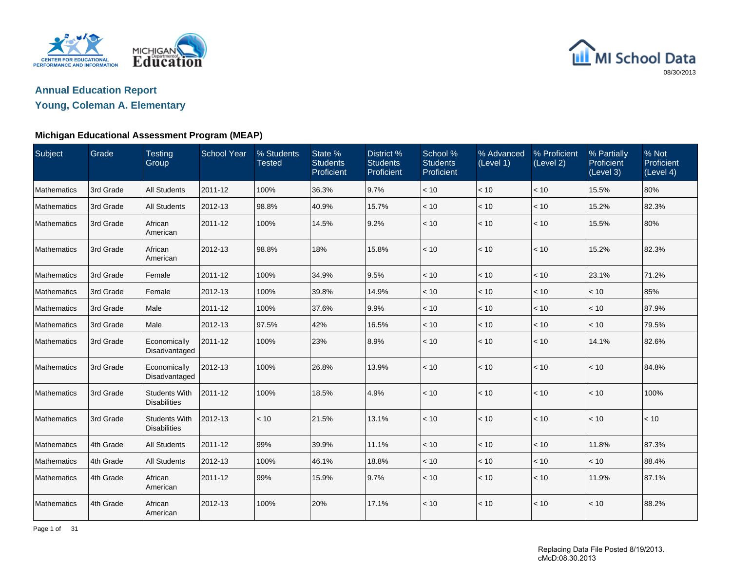



## **Young, Coleman A. Elementary**

### **Michigan Educational Assessment Program (MEAP)**

| Subject     | Grade     | <b>Testing</b><br>Group                     | <b>School Year</b> | % Students<br><b>Tested</b> | State %<br><b>Students</b><br>Proficient | District %<br><b>Students</b><br>Proficient | School %<br><b>Students</b><br>Proficient | % Advanced<br>(Level 1) | % Proficient<br>(Level 2) | % Partially<br>Proficient<br>(Level 3) | % Not<br>Proficient<br>(Level 4) |
|-------------|-----------|---------------------------------------------|--------------------|-----------------------------|------------------------------------------|---------------------------------------------|-------------------------------------------|-------------------------|---------------------------|----------------------------------------|----------------------------------|
| Mathematics | 3rd Grade | <b>All Students</b>                         | 2011-12            | 100%                        | 36.3%                                    | 9.7%                                        | < 10                                      | < 10                    | < 10                      | 15.5%                                  | 80%                              |
| Mathematics | 3rd Grade | <b>All Students</b>                         | 2012-13            | 98.8%                       | 40.9%                                    | 15.7%                                       | < 10                                      | $<10$                   | $<10$                     | 15.2%                                  | 82.3%                            |
| Mathematics | 3rd Grade | African<br>American                         | 2011-12            | 100%                        | 14.5%                                    | 9.2%                                        | < 10                                      | < 10                    | < 10                      | 15.5%                                  | 80%                              |
| Mathematics | 3rd Grade | African<br>American                         | 2012-13            | 98.8%                       | 18%                                      | 15.8%                                       | < 10                                      | $<10$                   | < 10                      | 15.2%                                  | 82.3%                            |
| Mathematics | 3rd Grade | Female                                      | 2011-12            | 100%                        | 34.9%                                    | 9.5%                                        | < 10                                      | < 10                    | < 10                      | 23.1%                                  | 71.2%                            |
| Mathematics | 3rd Grade | Female                                      | 2012-13            | 100%                        | 39.8%                                    | 14.9%                                       | < 10                                      | < 10                    | < 10                      | < 10                                   | 85%                              |
| Mathematics | 3rd Grade | Male                                        | 2011-12            | 100%                        | 37.6%                                    | 9.9%                                        | < 10                                      | < 10                    | < 10                      | < 10                                   | 87.9%                            |
| Mathematics | 3rd Grade | Male                                        | 2012-13            | 97.5%                       | 42%                                      | 16.5%                                       | $< 10$                                    | $<10$                   | $<10$                     | < 10                                   | 79.5%                            |
| Mathematics | 3rd Grade | Economically<br>Disadvantaged               | 2011-12            | 100%                        | 23%                                      | 8.9%                                        | < 10                                      | < 10                    | < 10                      | 14.1%                                  | 82.6%                            |
| Mathematics | 3rd Grade | Economically<br>Disadvantaged               | 2012-13            | 100%                        | 26.8%                                    | 13.9%                                       | < 10                                      | < 10                    | < 10                      | < 10                                   | 84.8%                            |
| Mathematics | 3rd Grade | <b>Students With</b><br><b>Disabilities</b> | 2011-12            | 100%                        | 18.5%                                    | 4.9%                                        | < 10                                      | < 10                    | < 10                      | < 10                                   | 100%                             |
| Mathematics | 3rd Grade | <b>Students With</b><br><b>Disabilities</b> | 2012-13            | < 10                        | 21.5%                                    | 13.1%                                       | < 10                                      | < 10                    | < 10                      | < 10                                   | < 10                             |
| Mathematics | 4th Grade | <b>All Students</b>                         | 2011-12            | 99%                         | 39.9%                                    | 11.1%                                       | < 10                                      | < 10                    | < 10                      | 11.8%                                  | 87.3%                            |
| Mathematics | 4th Grade | <b>All Students</b>                         | 2012-13            | 100%                        | 46.1%                                    | 18.8%                                       | < 10                                      | < 10                    | < 10                      | < 10                                   | 88.4%                            |
| Mathematics | 4th Grade | African<br>American                         | 2011-12            | 99%                         | 15.9%                                    | 9.7%                                        | < 10                                      | < 10                    | < 10                      | 11.9%                                  | 87.1%                            |
| Mathematics | 4th Grade | African<br>American                         | 2012-13            | 100%                        | 20%                                      | 17.1%                                       | < 10                                      | < 10                    | < 10                      | < 10                                   | 88.2%                            |

Page 1 of 31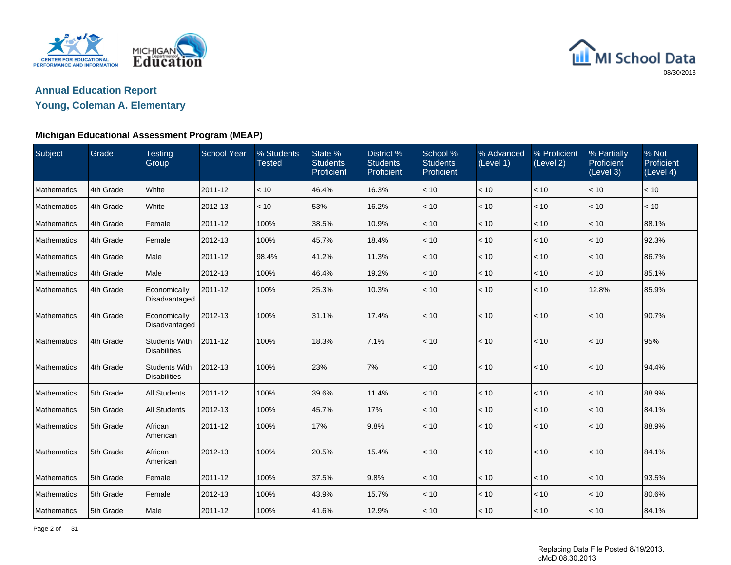



## **Young, Coleman A. Elementary**

### **Michigan Educational Assessment Program (MEAP)**

| Subject            | Grade     | <b>Testing</b><br>Group                     | <b>School Year</b> | % Students<br><b>Tested</b> | State %<br><b>Students</b><br>Proficient | District %<br><b>Students</b><br>Proficient | School %<br><b>Students</b><br>Proficient | % Advanced<br>(Level 1) | % Proficient<br>(Level 2) | % Partially<br>Proficient<br>(Level 3) | % Not<br>Proficient<br>(Level 4) |
|--------------------|-----------|---------------------------------------------|--------------------|-----------------------------|------------------------------------------|---------------------------------------------|-------------------------------------------|-------------------------|---------------------------|----------------------------------------|----------------------------------|
| Mathematics        | 4th Grade | White                                       | 2011-12            | < 10                        | 46.4%                                    | 16.3%                                       | < 10                                      | < 10                    | < 10                      | < 10                                   | < 10                             |
| Mathematics        | 4th Grade | White                                       | 2012-13            | < 10                        | 53%                                      | 16.2%                                       | < 10                                      | < 10                    | < 10                      | < 10                                   | < 10                             |
| Mathematics        | 4th Grade | Female                                      | 2011-12            | 100%                        | 38.5%                                    | 10.9%                                       | < 10                                      | < 10                    | < 10                      | < 10                                   | 88.1%                            |
| <b>Mathematics</b> | 4th Grade | Female                                      | 2012-13            | 100%                        | 45.7%                                    | 18.4%                                       | < 10                                      | < 10                    | < 10                      | < 10                                   | 92.3%                            |
| Mathematics        | 4th Grade | Male                                        | 2011-12            | 98.4%                       | 41.2%                                    | 11.3%                                       | < 10                                      | < 10                    | < 10                      | < 10                                   | 86.7%                            |
| Mathematics        | 4th Grade | Male                                        | 2012-13            | 100%                        | 46.4%                                    | 19.2%                                       | < 10                                      | < 10                    | < 10                      | < 10                                   | 85.1%                            |
| Mathematics        | 4th Grade | Economically<br>Disadvantaged               | 2011-12            | 100%                        | 25.3%                                    | 10.3%                                       | < 10                                      | < 10                    | < 10                      | 12.8%                                  | 85.9%                            |
| Mathematics        | 4th Grade | Economically<br>Disadvantaged               | 2012-13            | 100%                        | 31.1%                                    | 17.4%                                       | < 10                                      | < 10                    | < 10                      | < 10                                   | 90.7%                            |
| Mathematics        | 4th Grade | <b>Students With</b><br><b>Disabilities</b> | 2011-12            | 100%                        | 18.3%                                    | 7.1%                                        | < 10                                      | < 10                    | < 10                      | < 10                                   | 95%                              |
| Mathematics        | 4th Grade | <b>Students With</b><br><b>Disabilities</b> | 2012-13            | 100%                        | 23%                                      | 7%                                          | < 10                                      | < 10                    | < 10                      | < 10                                   | 94.4%                            |
| Mathematics        | 5th Grade | <b>All Students</b>                         | 2011-12            | 100%                        | 39.6%                                    | 11.4%                                       | < 10                                      | < 10                    | $<10$                     | < 10                                   | 88.9%                            |
| Mathematics        | 5th Grade | <b>All Students</b>                         | 2012-13            | 100%                        | 45.7%                                    | 17%                                         | < 10                                      | < 10                    | < 10                      | < 10                                   | 84.1%                            |
| Mathematics        | 5th Grade | African<br>American                         | 2011-12            | 100%                        | 17%                                      | 9.8%                                        | < 10                                      | < 10                    | < 10                      | < 10                                   | 88.9%                            |
| Mathematics        | 5th Grade | African<br>American                         | 2012-13            | 100%                        | 20.5%                                    | 15.4%                                       | < 10                                      | < 10                    | < 10                      | < 10                                   | 84.1%                            |
| Mathematics        | 5th Grade | Female                                      | 2011-12            | 100%                        | 37.5%                                    | 9.8%                                        | < 10                                      | < 10                    | < 10                      | < 10                                   | 93.5%                            |
| Mathematics        | 5th Grade | Female                                      | 2012-13            | 100%                        | 43.9%                                    | 15.7%                                       | < 10                                      | < 10                    | < 10                      | < 10                                   | 80.6%                            |
| Mathematics        | 5th Grade | Male                                        | 2011-12            | 100%                        | 41.6%                                    | 12.9%                                       | < 10                                      | < 10                    | < 10                      | < 10                                   | 84.1%                            |

Page 2 of 31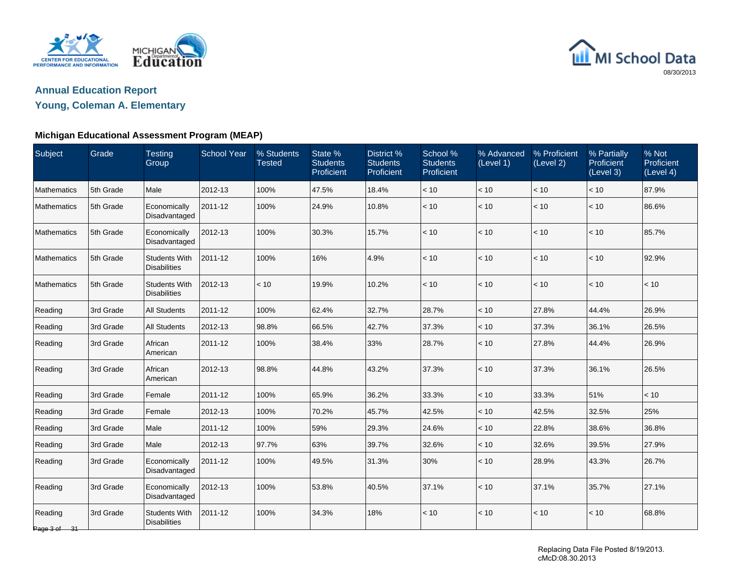



## **Young, Coleman A. Elementary**

### **Michigan Educational Assessment Program (MEAP)**

| Subject                 | Grade     | <b>Testing</b><br>Group                     | <b>School Year</b> | % Students<br><b>Tested</b> | State %<br><b>Students</b><br>Proficient | District <sub>%</sub><br><b>Students</b><br>Proficient | School %<br><b>Students</b><br>Proficient | % Advanced<br>(Level 1) | % Proficient<br>(Level 2) | % Partially<br>Proficient<br>(Level 3) | % Not<br><b>Proficient</b><br>(Level 4) |
|-------------------------|-----------|---------------------------------------------|--------------------|-----------------------------|------------------------------------------|--------------------------------------------------------|-------------------------------------------|-------------------------|---------------------------|----------------------------------------|-----------------------------------------|
| Mathematics             | 5th Grade | Male                                        | 2012-13            | 100%                        | 47.5%                                    | 18.4%                                                  | < 10                                      | < 10                    | < 10                      | < 10                                   | 87.9%                                   |
| Mathematics             | 5th Grade | Economically<br>Disadvantaged               | 2011-12            | 100%                        | 24.9%                                    | 10.8%                                                  | $<10$                                     | $<10$                   | $<10$                     | $<10$                                  | 86.6%                                   |
| Mathematics             | 5th Grade | Economically<br>Disadvantaged               | 2012-13            | 100%                        | 30.3%                                    | 15.7%                                                  | < 10                                      | < 10                    | < 10                      | < 10                                   | 85.7%                                   |
| Mathematics             | 5th Grade | <b>Students With</b><br><b>Disabilities</b> | 2011-12            | 100%                        | 16%                                      | 4.9%                                                   | < 10                                      | < 10                    | < 10                      | < 10                                   | 92.9%                                   |
| Mathematics             | 5th Grade | <b>Students With</b><br><b>Disabilities</b> | 2012-13            | < 10                        | 19.9%                                    | 10.2%                                                  | $<10$                                     | < 10                    | < 10                      | < 10                                   | < 10                                    |
| Reading                 | 3rd Grade | <b>All Students</b>                         | 2011-12            | 100%                        | 62.4%                                    | 32.7%                                                  | 28.7%                                     | < 10                    | 27.8%                     | 44.4%                                  | 26.9%                                   |
| Reading                 | 3rd Grade | <b>All Students</b>                         | 2012-13            | 98.8%                       | 66.5%                                    | 42.7%                                                  | 37.3%                                     | < 10                    | 37.3%                     | 36.1%                                  | 26.5%                                   |
| Reading                 | 3rd Grade | African<br>American                         | 2011-12            | 100%                        | 38.4%                                    | 33%                                                    | 28.7%                                     | < 10                    | 27.8%                     | 44.4%                                  | 26.9%                                   |
| Reading                 | 3rd Grade | African<br>American                         | 2012-13            | 98.8%                       | 44.8%                                    | 43.2%                                                  | 37.3%                                     | < 10                    | 37.3%                     | 36.1%                                  | 26.5%                                   |
| Reading                 | 3rd Grade | Female                                      | 2011-12            | 100%                        | 65.9%                                    | 36.2%                                                  | 33.3%                                     | < 10                    | 33.3%                     | 51%                                    | $<10$                                   |
| Reading                 | 3rd Grade | Female                                      | 2012-13            | 100%                        | 70.2%                                    | 45.7%                                                  | 42.5%                                     | < 10                    | 42.5%                     | 32.5%                                  | 25%                                     |
| Reading                 | 3rd Grade | Male                                        | 2011-12            | 100%                        | 59%                                      | 29.3%                                                  | 24.6%                                     | < 10                    | 22.8%                     | 38.6%                                  | 36.8%                                   |
| Reading                 | 3rd Grade | Male                                        | 2012-13            | 97.7%                       | 63%                                      | 39.7%                                                  | 32.6%                                     | < 10                    | 32.6%                     | 39.5%                                  | 27.9%                                   |
| Reading                 | 3rd Grade | Economically<br>Disadvantaged               | 2011-12            | 100%                        | 49.5%                                    | 31.3%                                                  | 30%                                       | < 10                    | 28.9%                     | 43.3%                                  | 26.7%                                   |
| Reading                 | 3rd Grade | Economically<br>Disadvantaged               | 2012-13            | 100%                        | 53.8%                                    | 40.5%                                                  | 37.1%                                     | < 10                    | 37.1%                     | 35.7%                                  | 27.1%                                   |
| Reading<br>Page 3 of 31 | 3rd Grade | <b>Students With</b><br><b>Disabilities</b> | 2011-12            | 100%                        | 34.3%                                    | 18%                                                    | < 10                                      | < 10                    | $<10$                     | < 10                                   | 68.8%                                   |

Replacing Data File Posted 8/19/2013. cMcD:08.30.2013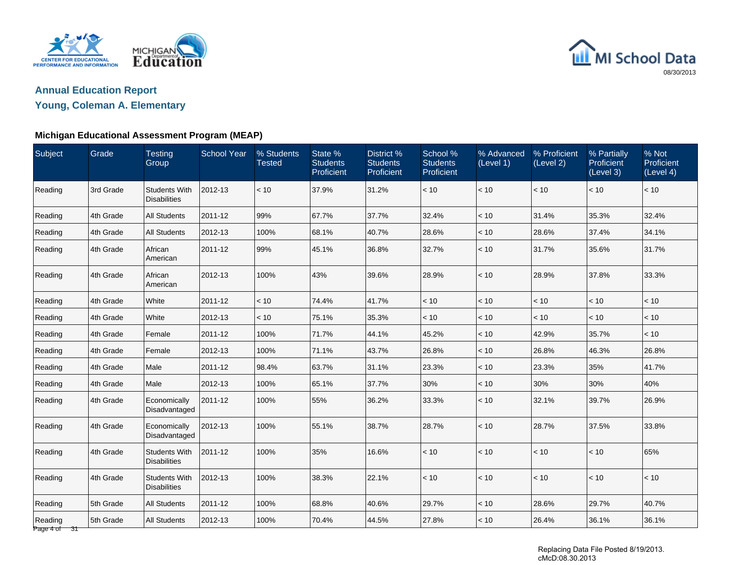



## **Young, Coleman A. Elementary**

### **Michigan Educational Assessment Program (MEAP)**

| Subject                 | Grade     | <b>Testing</b><br>Group                     | <b>School Year</b> | % Students<br><b>Tested</b> | State %<br><b>Students</b><br>Proficient | District %<br><b>Students</b><br>Proficient | School %<br><b>Students</b><br>Proficient | % Advanced<br>(Level 1) | % Proficient<br>(Level 2) | % Partially<br>Proficient<br>(Level 3) | % Not<br>Proficient<br>(Level 4) |
|-------------------------|-----------|---------------------------------------------|--------------------|-----------------------------|------------------------------------------|---------------------------------------------|-------------------------------------------|-------------------------|---------------------------|----------------------------------------|----------------------------------|
| Reading                 | 3rd Grade | <b>Students With</b><br><b>Disabilities</b> | 2012-13            | < 10                        | 37.9%                                    | 31.2%                                       | < 10                                      | < 10                    | $<10$                     | < 10                                   | < 10                             |
| Reading                 | 4th Grade | <b>All Students</b>                         | 2011-12            | 99%                         | 67.7%                                    | 37.7%                                       | 32.4%                                     | < 10                    | 31.4%                     | 35.3%                                  | 32.4%                            |
| Reading                 | 4th Grade | <b>All Students</b>                         | 2012-13            | 100%                        | 68.1%                                    | 40.7%                                       | 28.6%                                     | < 10                    | 28.6%                     | 37.4%                                  | 34.1%                            |
| Reading                 | 4th Grade | African<br>American                         | 2011-12            | 99%                         | 45.1%                                    | 36.8%                                       | 32.7%                                     | < 10                    | 31.7%                     | 35.6%                                  | 31.7%                            |
| Reading                 | 4th Grade | African<br>American                         | 2012-13            | 100%                        | 43%                                      | 39.6%                                       | 28.9%                                     | < 10                    | 28.9%                     | 37.8%                                  | 33.3%                            |
| Reading                 | 4th Grade | White                                       | 2011-12            | < 10                        | 74.4%                                    | 41.7%                                       | < 10                                      | < 10                    | < 10                      | < 10                                   | < 10                             |
| Reading                 | 4th Grade | White                                       | 2012-13            | < 10                        | 75.1%                                    | 35.3%                                       | < 10                                      | < 10                    | < 10                      | < 10                                   | < 10                             |
| Reading                 | 4th Grade | Female                                      | 2011-12            | 100%                        | 71.7%                                    | 44.1%                                       | 45.2%                                     | < 10                    | 42.9%                     | 35.7%                                  | < 10                             |
| Reading                 | 4th Grade | Female                                      | 2012-13            | 100%                        | 71.1%                                    | 43.7%                                       | 26.8%                                     | < 10                    | 26.8%                     | 46.3%                                  | 26.8%                            |
| Reading                 | 4th Grade | Male                                        | 2011-12            | 98.4%                       | 63.7%                                    | 31.1%                                       | 23.3%                                     | < 10                    | 23.3%                     | 35%                                    | 41.7%                            |
| Reading                 | 4th Grade | Male                                        | 2012-13            | 100%                        | 65.1%                                    | 37.7%                                       | 30%                                       | < 10                    | 30%                       | 30%                                    | 40%                              |
| Reading                 | 4th Grade | Economically<br>Disadvantaged               | 2011-12            | 100%                        | 55%                                      | 36.2%                                       | 33.3%                                     | < 10                    | 32.1%                     | 39.7%                                  | 26.9%                            |
| Reading                 | 4th Grade | Economically<br>Disadvantaged               | 2012-13            | 100%                        | 55.1%                                    | 38.7%                                       | 28.7%                                     | < 10                    | 28.7%                     | 37.5%                                  | 33.8%                            |
| Reading                 | 4th Grade | <b>Students With</b><br><b>Disabilities</b> | 2011-12            | 100%                        | 35%                                      | 16.6%                                       | < 10                                      | < 10                    | < 10                      | < 10                                   | 65%                              |
| Reading                 | 4th Grade | Students With<br><b>Disabilities</b>        | 2012-13            | 100%                        | 38.3%                                    | 22.1%                                       | < 10                                      | < 10                    | < 10                      | < 10                                   | < 10                             |
| Reading                 | 5th Grade | <b>All Students</b>                         | 2011-12            | 100%                        | 68.8%                                    | 40.6%                                       | 29.7%                                     | $<10$                   | 28.6%                     | 29.7%                                  | 40.7%                            |
| Reading<br>Page 4 of 31 | 5th Grade | <b>All Students</b>                         | 2012-13            | 100%                        | 70.4%                                    | 44.5%                                       | 27.8%                                     | < 10                    | 26.4%                     | 36.1%                                  | 36.1%                            |

Replacing Data File Posted 8/19/2013. cMcD:08.30.2013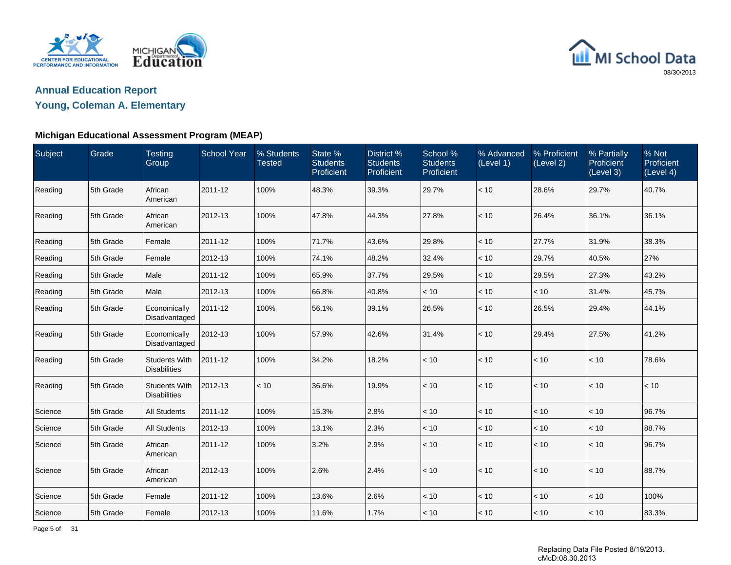



## **Young, Coleman A. Elementary**

### **Michigan Educational Assessment Program (MEAP)**

| Subject | Grade     | <b>Testing</b><br>Group                     | <b>School Year</b> | % Students<br><b>Tested</b> | State %<br><b>Students</b><br>Proficient | District %<br><b>Students</b><br>Proficient | School %<br><b>Students</b><br>Proficient | % Advanced<br>(Level 1) | % Proficient<br>(Level 2) | % Partially<br>Proficient<br>(Level 3) | % Not<br>Proficient<br>(Level 4) |
|---------|-----------|---------------------------------------------|--------------------|-----------------------------|------------------------------------------|---------------------------------------------|-------------------------------------------|-------------------------|---------------------------|----------------------------------------|----------------------------------|
| Reading | 5th Grade | African<br>American                         | 2011-12            | 100%                        | 48.3%                                    | 39.3%                                       | 29.7%                                     | $<10$                   | 28.6%                     | 29.7%                                  | 40.7%                            |
| Reading | 5th Grade | African<br>American                         | 2012-13            | 100%                        | 47.8%                                    | 44.3%                                       | 27.8%                                     | < 10                    | 26.4%                     | 36.1%                                  | 36.1%                            |
| Reading | 5th Grade | Female                                      | 2011-12            | 100%                        | 71.7%                                    | 43.6%                                       | 29.8%                                     | < 10                    | 27.7%                     | 31.9%                                  | 38.3%                            |
| Reading | 5th Grade | Female                                      | 2012-13            | 100%                        | 74.1%                                    | 48.2%                                       | 32.4%                                     | < 10                    | 29.7%                     | 40.5%                                  | 27%                              |
| Reading | 5th Grade | Male                                        | 2011-12            | 100%                        | 65.9%                                    | 37.7%                                       | 29.5%                                     | $<10\,$                 | 29.5%                     | 27.3%                                  | 43.2%                            |
| Reading | 5th Grade | Male                                        | 2012-13            | 100%                        | 66.8%                                    | 40.8%                                       | < 10                                      | $<10$                   | < 10                      | 31.4%                                  | 45.7%                            |
| Reading | 5th Grade | Economically<br>Disadvantaged               | 2011-12            | 100%                        | 56.1%                                    | 39.1%                                       | 26.5%                                     | < 10                    | 26.5%                     | 29.4%                                  | 44.1%                            |
| Reading | 5th Grade | Economically<br>Disadvantaged               | 2012-13            | 100%                        | 57.9%                                    | 42.6%                                       | 31.4%                                     | < 10                    | 29.4%                     | 27.5%                                  | 41.2%                            |
| Reading | 5th Grade | <b>Students With</b><br><b>Disabilities</b> | 2011-12            | 100%                        | 34.2%                                    | 18.2%                                       | < 10                                      | < 10                    | $<10$                     | < 10                                   | 78.6%                            |
| Reading | 5th Grade | <b>Students With</b><br><b>Disabilities</b> | 2012-13            | < 10                        | 36.6%                                    | 19.9%                                       | < 10                                      | < 10                    | < 10                      | < 10                                   | < 10                             |
| Science | 5th Grade | <b>All Students</b>                         | 2011-12            | 100%                        | 15.3%                                    | 2.8%                                        | < 10                                      | < 10                    | < 10                      | < 10                                   | 96.7%                            |
| Science | 5th Grade | <b>All Students</b>                         | 2012-13            | 100%                        | 13.1%                                    | 2.3%                                        | < 10                                      | < 10                    | < 10                      | < 10                                   | 88.7%                            |
| Science | 5th Grade | African<br>American                         | 2011-12            | 100%                        | 3.2%                                     | 2.9%                                        | < 10                                      | < 10                    | < 10                      | < 10                                   | 96.7%                            |
| Science | 5th Grade | African<br>American                         | 2012-13            | 100%                        | 2.6%                                     | 2.4%                                        | < 10                                      | < 10                    | $<10$                     | < 10                                   | 88.7%                            |
| Science | 5th Grade | Female                                      | 2011-12            | 100%                        | 13.6%                                    | 2.6%                                        | < 10                                      | < 10                    | < 10                      | < 10                                   | 100%                             |
| Science | 5th Grade | Female                                      | 2012-13            | 100%                        | 11.6%                                    | 1.7%                                        | < 10                                      | < 10                    | < 10                      | < 10                                   | 83.3%                            |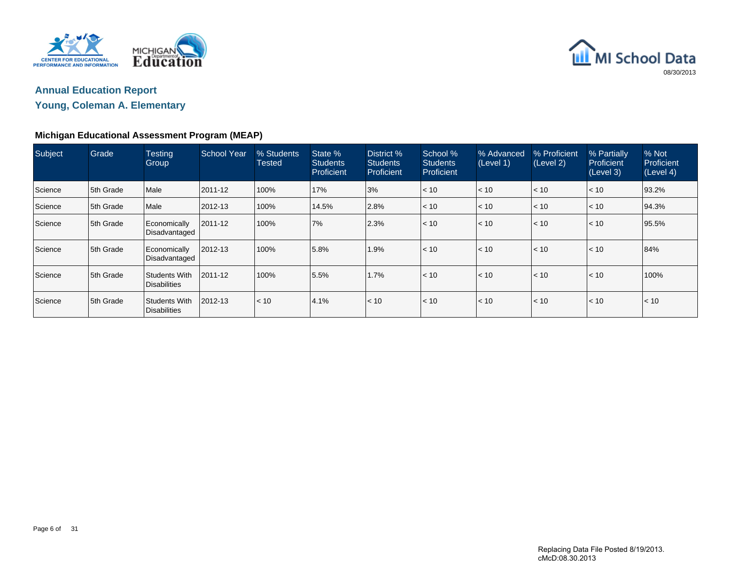



**Young, Coleman A. Elementary**

## **Michigan Educational Assessment Program (MEAP)**

| <b>Subject</b> | Grade     | <b>Testing</b><br>Group              | School Year | % Students<br>Tested | State %<br><b>Students</b><br>Proficient | District %<br><b>Students</b><br>Proficient | School %<br><b>Students</b><br><b>Proficient</b> | % Advanced<br>(Level 1) | % Proficient<br>(Level 2) | % Partially<br>Proficient<br>(Level 3) | % Not<br>Proficient<br>(Level 4) |
|----------------|-----------|--------------------------------------|-------------|----------------------|------------------------------------------|---------------------------------------------|--------------------------------------------------|-------------------------|---------------------------|----------------------------------------|----------------------------------|
| Science        | 5th Grade | Male                                 | 2011-12     | 100%                 | 17%                                      | 3%                                          | < 10                                             | < 10                    | < 10                      | $\leq 10$                              | 93.2%                            |
| Science        | 5th Grade | Male                                 | 2012-13     | 100%                 | 14.5%                                    | 2.8%                                        | < 10                                             | < 10                    | < 10                      | < 10                                   | 94.3%                            |
| Science        | 5th Grade | Economically<br>Disadvantaged        | 2011-12     | 100%                 | <b>7%</b>                                | 2.3%                                        | < 10                                             | < 10                    | < 10                      | < 10                                   | 95.5%                            |
| Science        | 5th Grade | Economically<br>Disadvantaged        | 2012-13     | 100%                 | 5.8%                                     | 1.9%                                        | < 10                                             | < 10                    | < 10                      | $\leq 10$                              | 84%                              |
| Science        | 5th Grade | Students With<br><b>Disabilities</b> | 2011-12     | 100%                 | 5.5%                                     | 1.7%                                        | < 10                                             | < 10                    | < 10                      | $\leq 10$                              | 100%                             |
| Science        | 5th Grade | Students With<br>Disabilities        | 2012-13     | < 10                 | 4.1%                                     | $\leq 10$                                   | < 10                                             | < 10                    | < 10                      | $\leq 10$                              | < 10                             |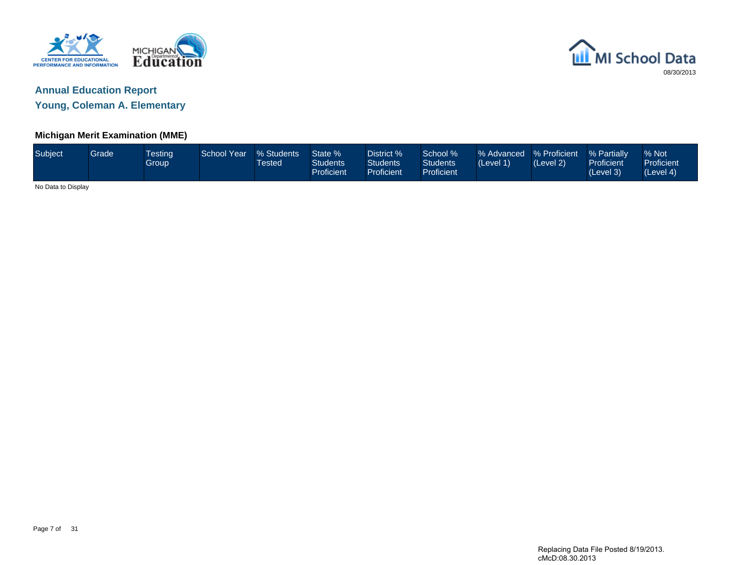



**Young, Coleman A. Elementary**

### **Michigan Merit Examination (MME)**

| Subject            | Grade | <b>Testing</b><br>Group | <b>School Year</b> | % Students<br>Tested | State %<br><b>Students</b><br>Proficient | District %<br><b>Students</b><br><b>Proficient</b> | School %<br><b>Students</b><br><b>Proficient</b> | % Advanced % Proficient<br>(Level 1) | (Level 2) | % Partially<br>Proficient<br>(Level 3) | % Not<br>Proficient<br>(Level 4) |
|--------------------|-------|-------------------------|--------------------|----------------------|------------------------------------------|----------------------------------------------------|--------------------------------------------------|--------------------------------------|-----------|----------------------------------------|----------------------------------|
| No Data to Display |       |                         |                    |                      |                                          |                                                    |                                                  |                                      |           |                                        |                                  |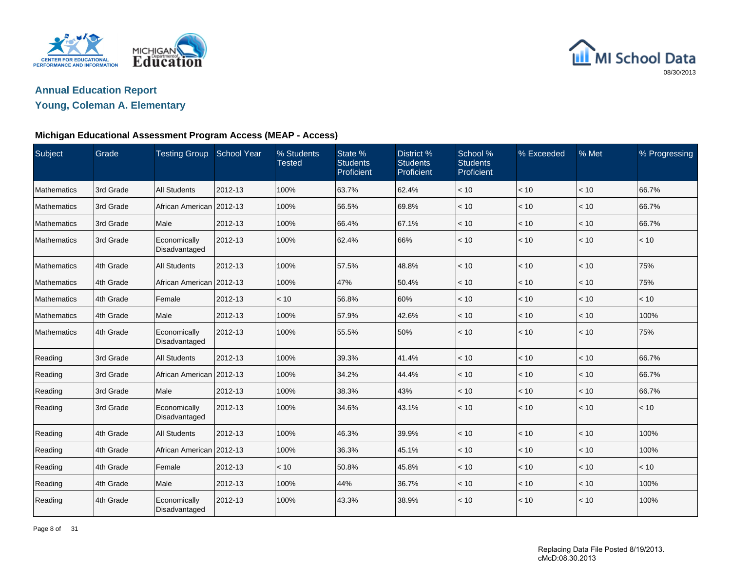



## **Young, Coleman A. Elementary**

### **Michigan Educational Assessment Program Access (MEAP - Access)**

| Subject     | Grade     | <b>Testing Group</b>          | <b>School Year</b> | % Students<br><b>Tested</b> | State %<br><b>Students</b><br>Proficient | District %<br><b>Students</b><br>Proficient | School %<br><b>Students</b><br>Proficient | % Exceeded   | % Met | % Progressing |
|-------------|-----------|-------------------------------|--------------------|-----------------------------|------------------------------------------|---------------------------------------------|-------------------------------------------|--------------|-------|---------------|
| Mathematics | 3rd Grade | <b>All Students</b>           | 2012-13            | 100%                        | 63.7%                                    | 62.4%                                       | < 10                                      | < 10         | < 10  | 66.7%         |
| Mathematics | 3rd Grade | African American 2012-13      |                    | 100%                        | 56.5%                                    | 69.8%                                       | < 10                                      | < 10         | < 10  | 66.7%         |
| Mathematics | 3rd Grade | Male                          | 2012-13            | 100%                        | 66.4%                                    | 67.1%                                       | < 10                                      | < 10         | < 10  | 66.7%         |
| Mathematics | 3rd Grade | Economically<br>Disadvantaged | 2012-13            | 100%                        | 62.4%                                    | 66%                                         | < 10                                      | < 10         | < 10  | < 10          |
| Mathematics | 4th Grade | <b>All Students</b>           | 2012-13            | 100%                        | 57.5%                                    | 48.8%                                       | < 10                                      | < 10         | < 10  | 75%           |
| Mathematics | 4th Grade | African American 2012-13      |                    | 100%                        | 47%                                      | 50.4%                                       | < 10                                      | < 10         | < 10  | 75%           |
| Mathematics | 4th Grade | Female                        | 2012-13            | < 10                        | 56.8%                                    | 60%                                         | < 10                                      | < 10         | < 10  | < 10          |
| Mathematics | 4th Grade | Male                          | 2012-13            | 100%                        | 57.9%                                    | 42.6%                                       | < 10                                      | < 10         | < 10  | 100%          |
| Mathematics | 4th Grade | Economically<br>Disadvantaged | 2012-13            | 100%                        | 55.5%                                    | 50%                                         | < 10                                      | $\vert$ < 10 | < 10  | 75%           |
| Reading     | 3rd Grade | <b>All Students</b>           | 2012-13            | 100%                        | 39.3%                                    | 41.4%                                       | < 10                                      | < 10         | < 10  | 66.7%         |
| Reading     | 3rd Grade | African American              | 2012-13            | 100%                        | 34.2%                                    | 44.4%                                       | < 10                                      | < 10         | < 10  | 66.7%         |
| Reading     | 3rd Grade | Male                          | 2012-13            | 100%                        | 38.3%                                    | 43%                                         | < 10                                      | < 10         | < 10  | 66.7%         |
| Reading     | 3rd Grade | Economically<br>Disadvantaged | 2012-13            | 100%                        | 34.6%                                    | 43.1%                                       | < 10                                      | $\vert$ < 10 | < 10  | < 10          |
| Reading     | 4th Grade | <b>All Students</b>           | 2012-13            | 100%                        | 46.3%                                    | 39.9%                                       | < 10                                      | < 10         | < 10  | 100%          |
| Reading     | 4th Grade | African American 2012-13      |                    | 100%                        | 36.3%                                    | 45.1%                                       | < 10                                      | < 10         | < 10  | 100%          |
| Reading     | 4th Grade | Female                        | 2012-13            | < 10                        | 50.8%                                    | 45.8%                                       | < 10                                      | < 10         | < 10  | < 10          |
| Reading     | 4th Grade | Male                          | 2012-13            | 100%                        | 44%                                      | 36.7%                                       | < 10                                      | < 10         | < 10  | 100%          |
| Reading     | 4th Grade | Economically<br>Disadvantaged | 2012-13            | 100%                        | 43.3%                                    | 38.9%                                       | < 10                                      | < 10         | < 10  | 100%          |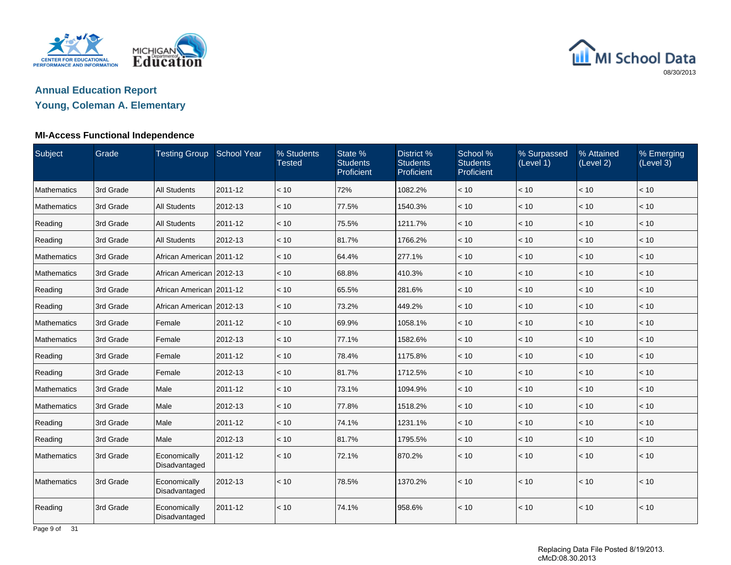



## **Young, Coleman A. Elementary**

### **MI-Access Functional Independence**

| Subject     | Grade     | Testing Group School Year     |         | % Students<br><b>Tested</b> | State %<br><b>Students</b><br>Proficient | District %<br><b>Students</b><br>Proficient | School %<br><b>Students</b><br>Proficient | % Surpassed<br>(Level 1) | % Attained<br>(Level 2) | % Emerging<br>(Level 3) |
|-------------|-----------|-------------------------------|---------|-----------------------------|------------------------------------------|---------------------------------------------|-------------------------------------------|--------------------------|-------------------------|-------------------------|
| Mathematics | 3rd Grade | <b>All Students</b>           | 2011-12 | < 10                        | 72%                                      | 1082.2%                                     | < 10                                      | < 10                     | < 10                    | < 10                    |
| Mathematics | 3rd Grade | <b>All Students</b>           | 2012-13 | < 10                        | 77.5%                                    | 1540.3%                                     | < 10                                      | < 10                     | < 10                    | < 10                    |
| Reading     | 3rd Grade | <b>All Students</b>           | 2011-12 | < 10                        | 75.5%                                    | 1211.7%                                     | < 10                                      | < 10                     | < 10                    | < 10                    |
| Reading     | 3rd Grade | <b>All Students</b>           | 2012-13 | < 10                        | 81.7%                                    | 1766.2%                                     | < 10                                      | < 10                     | $<10$                   | $<10$                   |
| Mathematics | 3rd Grade | African American 2011-12      |         | < 10                        | 64.4%                                    | 277.1%                                      | < 10                                      | < 10                     | < 10                    | < 10                    |
| Mathematics | 3rd Grade | African American 2012-13      |         | < 10                        | 68.8%                                    | 410.3%                                      | < 10                                      | < 10                     | < 10                    | < 10                    |
| Reading     | 3rd Grade | African American 2011-12      |         | < 10                        | 65.5%                                    | 281.6%                                      | < 10                                      | < 10                     | $<10$                   | < 10                    |
| Reading     | 3rd Grade | African American 2012-13      |         | < 10                        | 73.2%                                    | 449.2%                                      | < 10                                      | $ $ < 10                 | < 10                    | < 10                    |
| Mathematics | 3rd Grade | Female                        | 2011-12 | < 10                        | 69.9%                                    | 1058.1%                                     | < 10                                      | < 10                     | < 10                    | < 10                    |
| Mathematics | 3rd Grade | Female                        | 2012-13 | ~10                         | 77.1%                                    | 1582.6%                                     | < 10                                      | < 10                     | < 10                    | < 10                    |
| Reading     | 3rd Grade | Female                        | 2011-12 | < 10                        | 78.4%                                    | 1175.8%                                     | < 10                                      | $<10$                    | $<10$                   | $<10$                   |
| Reading     | 3rd Grade | Female                        | 2012-13 | < 10                        | 81.7%                                    | 1712.5%                                     | < 10                                      | < 10                     | < 10                    | < 10                    |
| Mathematics | 3rd Grade | Male                          | 2011-12 | < 10                        | 73.1%                                    | 1094.9%                                     | < 10                                      | < 10                     | < 10                    | < 10                    |
| Mathematics | 3rd Grade | Male                          | 2012-13 | < 10                        | 77.8%                                    | 1518.2%                                     | < 10                                      | < 10                     | < 10                    | < 10                    |
| Reading     | 3rd Grade | Male                          | 2011-12 | < 10                        | 74.1%                                    | 1231.1%                                     | < 10                                      | < 10                     | < 10                    | < 10                    |
| Reading     | 3rd Grade | Male                          | 2012-13 | < 10                        | 81.7%                                    | 1795.5%                                     | < 10                                      | < 10                     | < 10                    | < 10                    |
| Mathematics | 3rd Grade | Economically<br>Disadvantaged | 2011-12 | < 10                        | 72.1%                                    | 870.2%                                      | < 10                                      | < 10                     | < 10                    | < 10                    |
| Mathematics | 3rd Grade | Economically<br>Disadvantaged | 2012-13 | < 10                        | 78.5%                                    | 1370.2%                                     | < 10                                      | $ $ < 10                 | < 10                    | < 10                    |
| Reading     | 3rd Grade | Economically<br>Disadvantaged | 2011-12 | < 10                        | 74.1%                                    | 958.6%                                      | < 10                                      | < 10                     | < 10                    | < 10                    |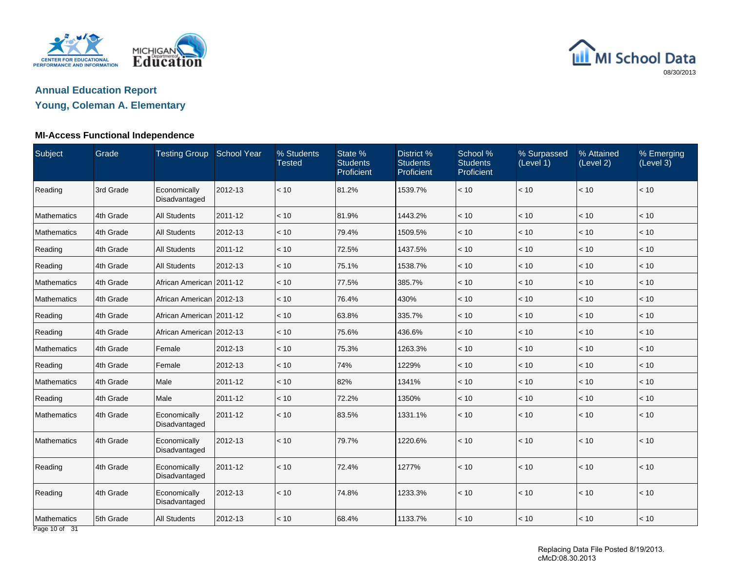



## **Young, Coleman A. Elementary**

### **MI-Access Functional Independence**

| Subject                                | Grade     | Testing Group School Year     |         | % Students<br><b>Tested</b> | State %<br><b>Students</b><br>Proficient | District %<br><b>Students</b><br>Proficient | School %<br><b>Students</b><br>Proficient | % Surpassed<br>(Level 1) | % Attained<br>(Level 2) | % Emerging<br>(Level 3) |
|----------------------------------------|-----------|-------------------------------|---------|-----------------------------|------------------------------------------|---------------------------------------------|-------------------------------------------|--------------------------|-------------------------|-------------------------|
| Reading                                | 3rd Grade | Economically<br>Disadvantaged | 2012-13 | < 10                        | 81.2%                                    | 1539.7%                                     | < 10                                      | $<10$                    | < 10                    | < 10                    |
| Mathematics                            | 4th Grade | <b>All Students</b>           | 2011-12 | < 10                        | 81.9%                                    | 1443.2%                                     | < 10                                      | < 10                     | $<10$                   | $<10$                   |
| Mathematics                            | 4th Grade | <b>All Students</b>           | 2012-13 | < 10                        | 79.4%                                    | 1509.5%                                     | < 10                                      | < 10                     | < 10                    | < 10                    |
| Reading                                | 4th Grade | <b>All Students</b>           | 2011-12 | < 10                        | 72.5%                                    | 1437.5%                                     | < 10                                      | < 10                     | < 10                    | < 10                    |
| Reading                                | 4th Grade | <b>All Students</b>           | 2012-13 | < 10                        | 75.1%                                    | 1538.7%                                     | < 10                                      | < 10                     | < 10                    | < 10                    |
| Mathematics                            | 4th Grade | African American 2011-12      |         | < 10                        | 77.5%                                    | 385.7%                                      | < 10                                      | < 10                     | $<10$                   | $<10$                   |
| Mathematics                            | 4th Grade | African American 2012-13      |         | < 10                        | 76.4%                                    | 430%                                        | < 10                                      | < 10                     | < 10                    | < 10                    |
| Reading                                | 4th Grade | African American   2011-12    |         | < 10                        | 63.8%                                    | 335.7%                                      | < 10                                      | < 10                     | < 10                    | < 10                    |
| Reading                                | 4th Grade | African American 2012-13      |         | < 10                        | 75.6%                                    | 436.6%                                      | < 10                                      | < 10                     | < 10                    | < 10                    |
| Mathematics                            | 4th Grade | Female                        | 2012-13 | < 10                        | 75.3%                                    | 1263.3%                                     | < 10                                      | < 10                     | < 10                    | < 10                    |
| Reading                                | 4th Grade | Female                        | 2012-13 | < 10                        | 74%                                      | 1229%                                       | < 10                                      | < 10                     | < 10                    | < 10                    |
| Mathematics                            | 4th Grade | Male                          | 2011-12 | < 10                        | 82%                                      | 1341%                                       | < 10                                      | < 10                     | < 10                    | < 10                    |
| Reading                                | 4th Grade | Male                          | 2011-12 | < 10                        | 72.2%                                    | 1350%                                       | < 10                                      | < 10                     | < 10                    | < 10                    |
| Mathematics                            | 4th Grade | Economically<br>Disadvantaged | 2011-12 | < 10                        | 83.5%                                    | 1331.1%                                     | < 10                                      | $ $ < 10                 | < 10                    | < 10                    |
| Mathematics                            | 4th Grade | Economically<br>Disadvantaged | 2012-13 | < 10                        | 79.7%                                    | 1220.6%                                     | < 10                                      | < 10                     | < 10                    | < 10                    |
| Reading                                | 4th Grade | Economically<br>Disadvantaged | 2011-12 | < 10                        | 72.4%                                    | 1277%                                       | < 10                                      | < 10                     | $<10$                   | < 10                    |
| Reading                                | 4th Grade | Economically<br>Disadvantaged | 2012-13 | < 10                        | 74.8%                                    | 1233.3%                                     | < 10                                      | < 10                     | < 10                    | < 10                    |
| Mathematics<br>$D0$ and $D0$ $A1$ $D2$ | 5th Grade | <b>All Students</b>           | 2012-13 | < 10                        | 68.4%                                    | 1133.7%                                     | < 10                                      | < 10                     | < 10                    | < 10                    |

Page 10 of 31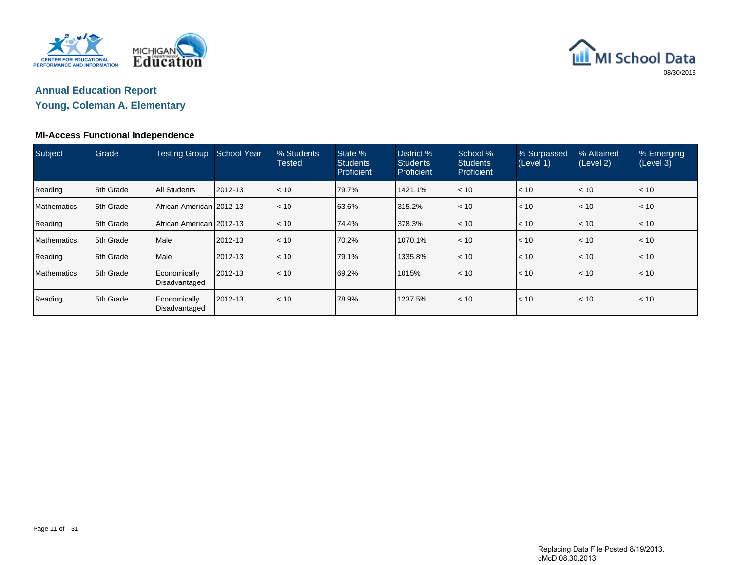



## **Young, Coleman A. Elementary**

### **MI-Access Functional Independence**

| Subject            | Grade      | <b>Testing Group</b>          | School Year | % Students<br><b>Tested</b> | State %<br><b>Students</b><br>Proficient | District %<br><b>Students</b><br>Proficient | School %<br><b>Students</b><br>Proficient | % Surpassed<br>(Level 1) | % Attained<br>(Level 2) | % Emerging<br>(Level 3) |
|--------------------|------------|-------------------------------|-------------|-----------------------------|------------------------------------------|---------------------------------------------|-------------------------------------------|--------------------------|-------------------------|-------------------------|
| Reading            | 5th Grade  | All Students                  | 2012-13     | < 10                        | 79.7%                                    | 1421.1%                                     | < 10                                      | $ $ < 10                 | $\leq 10$               | $ $ < 10                |
| <b>Mathematics</b> | 5th Grade  | African American 2012-13      |             | < 10                        | 63.6%                                    | 315.2%                                      | < 10                                      | $ $ < 10                 | < 10                    | $ $ < 10                |
| Reading            | 5th Grade  | African American 2012-13      |             | $\vert$ < 10                | 74.4%                                    | 378.3%                                      | < 10                                      | $\vert$ < 10             | $\leq 10$               | < 10                    |
| <b>Mathematics</b> | 5th Grade  | Male                          | 2012-13     | < 10                        | 70.2%                                    | 1070.1%                                     | < 10                                      | $ $ < 10 $ $             | $ $ < 10                | $\mathsf{I}$ < 10       |
| Reading            | 5th Grade  | Male                          | 2012-13     | < 10                        | 79.1%                                    | 1335.8%                                     | < 10                                      | $\vert$ < 10             | $\leq 10$               | l< 10                   |
| <b>Mathematics</b> | 15th Grade | Economically<br>Disadvantaged | 2012-13     | < 10                        | 69.2%                                    | 1015%                                       | < 10                                      | $\vert$ < 10             | < 10                    | < 10                    |
| Reading            | 5th Grade  | Economically<br>Disadvantaged | 2012-13     | < 10                        | 78.9%                                    | 1237.5%                                     | < 10                                      | $ $ < 10                 | < 10                    | < 10                    |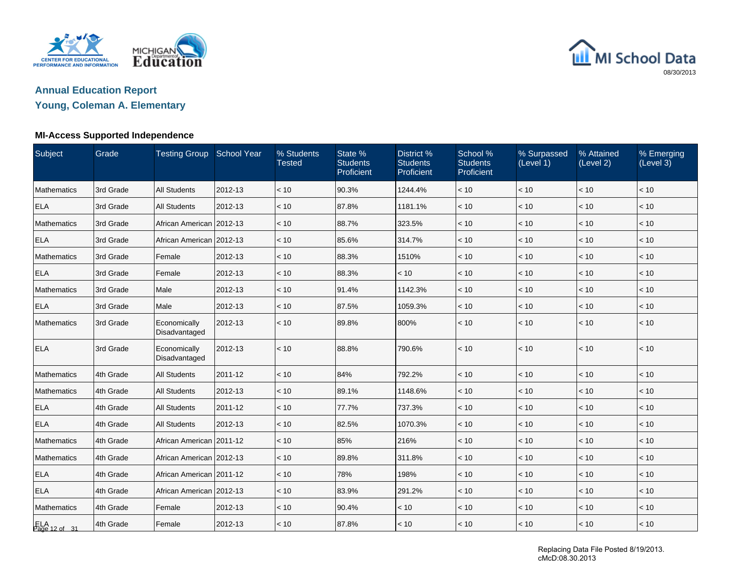



## **Young, Coleman A. Elementary**

### **MI-Access Supported Independence**

| Subject              | Grade     | Testing Group School Year     |         | % Students<br><b>Tested</b> | State %<br><b>Students</b><br>Proficient | District %<br><b>Students</b><br>Proficient | School %<br><b>Students</b><br>Proficient | % Surpassed<br>(Level 1) | % Attained<br>(Level 2) | % Emerging<br>(Level 3) |
|----------------------|-----------|-------------------------------|---------|-----------------------------|------------------------------------------|---------------------------------------------|-------------------------------------------|--------------------------|-------------------------|-------------------------|
| Mathematics          | 3rd Grade | <b>All Students</b>           | 2012-13 | < 10                        | 90.3%                                    | 1244.4%                                     | < 10                                      | < 10                     | $<10$                   | < 10                    |
| <b>ELA</b>           | 3rd Grade | <b>All Students</b>           | 2012-13 | < 10                        | 87.8%                                    | 1181.1%                                     | < 10                                      | < 10                     | < 10                    | < 10                    |
| <b>Mathematics</b>   | 3rd Grade | African American 2012-13      |         | < 10                        | 88.7%                                    | 323.5%                                      | < 10                                      | < 10                     | < 10                    | < 10                    |
| <b>ELA</b>           | 3rd Grade | African American 2012-13      |         | < 10                        | 85.6%                                    | 314.7%                                      | < 10                                      | < 10                     | $<10$                   | < 10                    |
| Mathematics          | 3rd Grade | Female                        | 2012-13 | < 10                        | 88.3%                                    | 1510%                                       | < 10                                      | < 10                     | < 10                    | < 10                    |
| <b>ELA</b>           | 3rd Grade | Female                        | 2012-13 | < 10                        | 88.3%                                    | < 10                                        | < 10                                      | $<10$                    | < 10                    | < 10                    |
| Mathematics          | 3rd Grade | Male                          | 2012-13 | < 10                        | 91.4%                                    | 1142.3%                                     | < 10                                      | < 10                     | < 10                    | < 10                    |
| <b>ELA</b>           | 3rd Grade | Male                          | 2012-13 | $~<$ 10                     | 87.5%                                    | 1059.3%                                     | < 10                                      | < 10                     | < 10                    | < 10                    |
| <b>Mathematics</b>   | 3rd Grade | Economically<br>Disadvantaged | 2012-13 | < 10                        | 89.8%                                    | 800%                                        | < 10                                      | < 10                     | < 10                    | < 10                    |
| <b>ELA</b>           | 3rd Grade | Economically<br>Disadvantaged | 2012-13 | < 10                        | 88.8%                                    | 790.6%                                      | < 10                                      | < 10                     | < 10                    | < 10                    |
| Mathematics          | 4th Grade | <b>All Students</b>           | 2011-12 | < 10                        | 84%                                      | 792.2%                                      | < 10                                      | < 10                     | < 10                    | < 10                    |
| Mathematics          | 4th Grade | <b>All Students</b>           | 2012-13 | < 10                        | 89.1%                                    | 1148.6%                                     | < 10                                      | < 10                     | < 10                    | < 10                    |
| <b>ELA</b>           | 4th Grade | <b>All Students</b>           | 2011-12 | < 10                        | 77.7%                                    | 737.3%                                      | < 10                                      | < 10                     | < 10                    | < 10                    |
| <b>ELA</b>           | 4th Grade | <b>All Students</b>           | 2012-13 | < 10                        | 82.5%                                    | 1070.3%                                     | < 10                                      | < 10                     | < 10                    | < 10                    |
| Mathematics          | 4th Grade | African American   2011-12    |         | < 10                        | 85%                                      | 216%                                        | < 10                                      | < 10                     | < 10                    | < 10                    |
| Mathematics          | 4th Grade | African American   2012-13    |         | < 10                        | 89.8%                                    | 311.8%                                      | < 10                                      | < 10                     | < 10                    | < 10                    |
| <b>ELA</b>           | 4th Grade | African American 2011-12      |         | < 10                        | 78%                                      | 198%                                        | < 10                                      | < 10                     | < 10                    | < 10                    |
| <b>ELA</b>           | 4th Grade | African American 2012-13      |         | < 10                        | 83.9%                                    | 291.2%                                      | < 10                                      | < 10                     | < 10                    | < 10                    |
| Mathematics          | 4th Grade | Female                        | 2012-13 | < 10                        | 90.4%                                    | < 10                                        | $<10$                                     | $<10$                    | $<10$                   | < 10                    |
| ELA<br>Page 12 of 31 | 4th Grade | Female                        | 2012-13 | < 10                        | 87.8%                                    | < 10                                        | < 10                                      | $ $ < 10                 | < 10                    | < 10                    |

Replacing Data File Posted 8/19/2013. cMcD:08.30.2013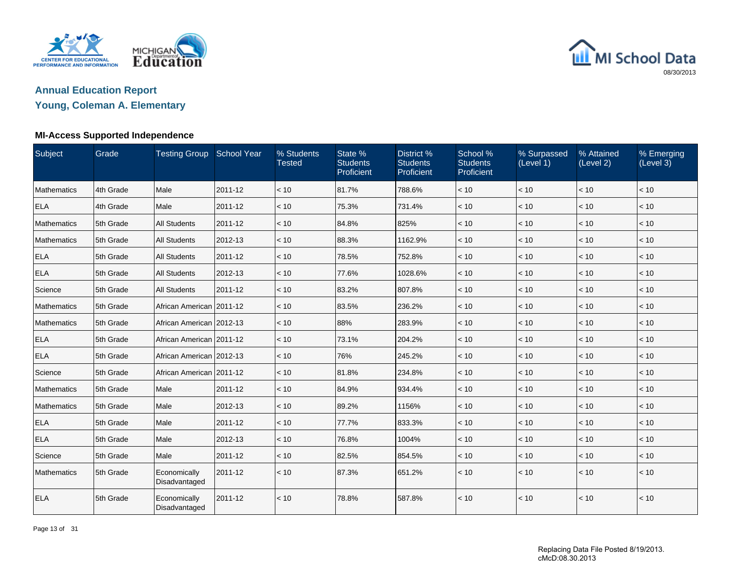



## **Young, Coleman A. Elementary**

### **MI-Access Supported Independence**

| Subject            | Grade     | Testing Group School Year     |         | % Students<br><b>Tested</b> | State %<br><b>Students</b><br>Proficient | District %<br><b>Students</b><br>Proficient | School %<br><b>Students</b><br>Proficient | % Surpassed<br>(Level 1) | % Attained<br>(Level 2) | % Emerging<br>(Level 3) |
|--------------------|-----------|-------------------------------|---------|-----------------------------|------------------------------------------|---------------------------------------------|-------------------------------------------|--------------------------|-------------------------|-------------------------|
| Mathematics        | 4th Grade | Male                          | 2011-12 | < 10                        | 81.7%                                    | 788.6%                                      | < 10                                      | < 10                     | < 10                    | < 10                    |
| <b>ELA</b>         | 4th Grade | Male                          | 2011-12 | < 10                        | 75.3%                                    | 731.4%                                      | < 10                                      | < 10                     | < 10                    | < 10                    |
| Mathematics        | 5th Grade | <b>All Students</b>           | 2011-12 | < 10                        | 84.8%                                    | 825%                                        | < 10                                      | < 10                     | < 10                    | < 10                    |
| <b>Mathematics</b> | 5th Grade | <b>All Students</b>           | 2012-13 | < 10                        | 88.3%                                    | 1162.9%                                     | < 10                                      | < 10                     | < 10                    | < 10                    |
| <b>ELA</b>         | 5th Grade | <b>All Students</b>           | 2011-12 | < 10                        | 78.5%                                    | 752.8%                                      | < 10                                      | < 10                     | < 10                    | < 10                    |
| <b>ELA</b>         | 5th Grade | <b>All Students</b>           | 2012-13 | < 10                        | 77.6%                                    | 1028.6%                                     | < 10                                      | < 10                     | < 10                    | < 10                    |
| Science            | 5th Grade | <b>All Students</b>           | 2011-12 | < 10                        | 83.2%                                    | 807.8%                                      | < 10                                      | < 10                     | < 10                    | < 10                    |
| <b>Mathematics</b> | 5th Grade | African American   2011-12    |         | < 10                        | 83.5%                                    | 236.2%                                      | < 10                                      | < 10                     | < 10                    | < 10                    |
| Mathematics        | 5th Grade | African American 2012-13      |         | $~<$ 10                     | 88%                                      | 283.9%                                      | < 10                                      | < 10                     | < 10                    | < 10                    |
| <b>ELA</b>         | 5th Grade | African American   2011-12    |         | < 10                        | 73.1%                                    | 204.2%                                      | < 10                                      | < 10                     | < 10                    | < 10                    |
| <b>ELA</b>         | 5th Grade | African American 2012-13      |         | < 10                        | 76%                                      | 245.2%                                      | < 10                                      | < 10                     | < 10                    | < 10                    |
| Science            | 5th Grade | African American 2011-12      |         | < 10                        | 81.8%                                    | 234.8%                                      | < 10                                      | < 10                     | < 10                    | < 10                    |
| Mathematics        | 5th Grade | Male                          | 2011-12 | < 10                        | 84.9%                                    | 934.4%                                      | < 10                                      | < 10                     | < 10                    | < 10                    |
| Mathematics        | 5th Grade | Male                          | 2012-13 | < 10                        | 89.2%                                    | 1156%                                       | < 10                                      | $<10$                    | $<10$                   | < 10                    |
| <b>ELA</b>         | 5th Grade | Male                          | 2011-12 | < 10                        | 77.7%                                    | 833.3%                                      | < 10                                      | < 10                     | < 10                    | < 10                    |
| <b>ELA</b>         | 5th Grade | Male                          | 2012-13 | < 10                        | 76.8%                                    | 1004%                                       | < 10                                      | < 10                     | < 10                    | < 10                    |
| Science            | 5th Grade | Male                          | 2011-12 | < 10                        | 82.5%                                    | 854.5%                                      | < 10                                      | $<10$                    | $<10$                   | < 10                    |
| <b>Mathematics</b> | 5th Grade | Economically<br>Disadvantaged | 2011-12 | < 10                        | 87.3%                                    | 651.2%                                      | < 10                                      | $\vert$ < 10             | < 10                    | < 10                    |
| <b>ELA</b>         | 5th Grade | Economically<br>Disadvantaged | 2011-12 | < 10                        | 78.8%                                    | 587.8%                                      | < 10                                      | $\vert$ < 10             | < 10                    | < 10                    |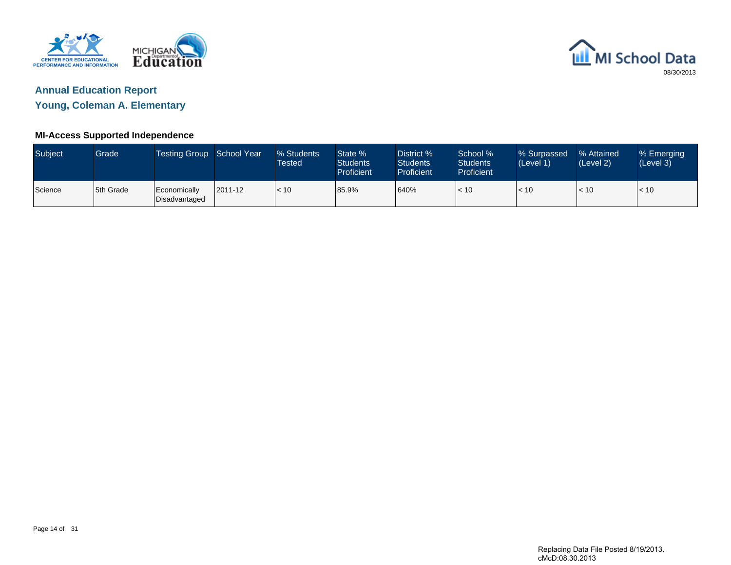



**Young, Coleman A. Elementary**

### **MI-Access Supported Independence**

| <b>Subject</b> | Grade     | Testing Group School Year     |         | % Students<br>Tested | State %<br><b>Students</b><br>Proficient | District %<br><b>Students</b><br>Proficient | School %<br><b>Students</b><br><b>Proficient</b> | % Surpassed<br>(Level 1) | % Attained<br>(Level 2) | % Emerging<br>(Level 3) |
|----------------|-----------|-------------------------------|---------|----------------------|------------------------------------------|---------------------------------------------|--------------------------------------------------|--------------------------|-------------------------|-------------------------|
| Science        | 5th Grade | Economically<br>Disadvantaged | 2011-12 | < 10                 | 85.9%                                    | 640%                                        | < 10                                             | < 10                     | $\leq 10$               | < 10                    |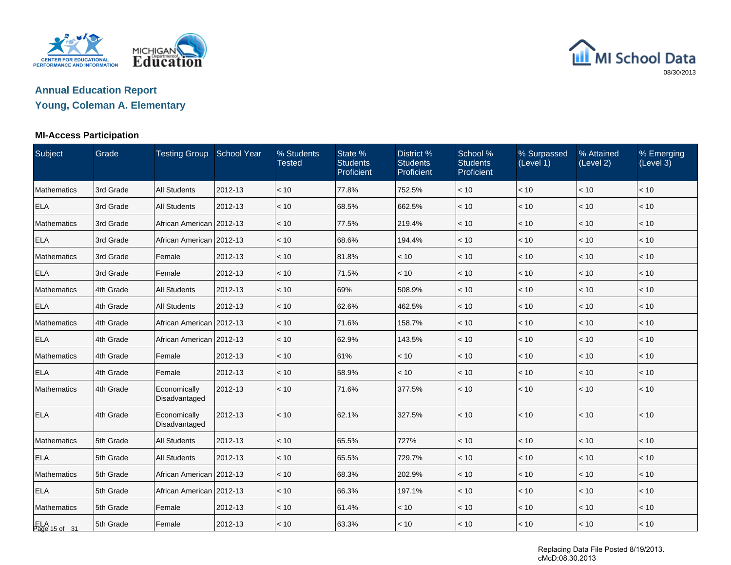



**Young, Coleman A. Elementary**

## **MI-Access Participation**

| Subject              | Grade     | Testing Group School Year     |         | % Students<br><b>Tested</b> | State %<br><b>Students</b><br>Proficient | District %<br><b>Students</b><br>Proficient | School %<br><b>Students</b><br>Proficient | % Surpassed<br>(Level 1) | % Attained<br>(Level 2) | % Emerging<br>(Level 3) |
|----------------------|-----------|-------------------------------|---------|-----------------------------|------------------------------------------|---------------------------------------------|-------------------------------------------|--------------------------|-------------------------|-------------------------|
| Mathematics          | 3rd Grade | <b>All Students</b>           | 2012-13 | < 10                        | 77.8%                                    | 752.5%                                      | < 10                                      | < 10                     | < 10                    | < 10                    |
| ELA                  | 3rd Grade | <b>All Students</b>           | 2012-13 | < 10                        | 68.5%                                    | 662.5%                                      | < 10                                      | < 10                     | $<10$                   | $<10$                   |
| Mathematics          | 3rd Grade | African American   2012-13    |         | < 10                        | 77.5%                                    | 219.4%                                      | < 10                                      | < 10                     | < 10                    | < 10                    |
| <b>ELA</b>           | 3rd Grade | African American   2012-13    |         | < 10                        | 68.6%                                    | 194.4%                                      | < 10                                      | < 10                     | < 10                    | < 10                    |
| Mathematics          | 3rd Grade | Female                        | 2012-13 | < 10                        | 81.8%                                    | < 10                                        | < 10                                      | < 10                     | < 10                    | < 10                    |
| <b>ELA</b>           | 3rd Grade | Female                        | 2012-13 | < 10                        | 71.5%                                    | < 10                                        | < 10                                      | < 10                     | < 10                    | < 10                    |
| Mathematics          | 4th Grade | <b>All Students</b>           | 2012-13 | < 10                        | 69%                                      | 508.9%                                      | < 10                                      | < 10                     | $<10$                   | $<10$                   |
| <b>ELA</b>           | 4th Grade | <b>All Students</b>           | 2012-13 | < 10                        | 62.6%                                    | 462.5%                                      | < 10                                      | < 10                     | < 10                    | < 10                    |
| Mathematics          | 4th Grade | African American   2012-13    |         | < 10                        | 71.6%                                    | 158.7%                                      | < 10                                      | < 10                     | < 10                    | < 10                    |
| <b>ELA</b>           | 4th Grade | African American 2012-13      |         | < 10                        | 62.9%                                    | 143.5%                                      | < 10                                      | < 10                     | < 10                    | < 10                    |
| Mathematics          | 4th Grade | Female                        | 2012-13 | < 10                        | 61%                                      | < 10                                        | < 10                                      | < 10                     | < 10                    | < 10                    |
| <b>ELA</b>           | 4th Grade | Female                        | 2012-13 | < 10                        | 58.9%                                    | < 10                                        | < 10                                      | < 10                     | $<10$                   | $<10$                   |
| Mathematics          | 4th Grade | Economically<br>Disadvantaged | 2012-13 | < 10                        | 71.6%                                    | 377.5%                                      | < 10                                      | < 10                     | < 10                    | < 10                    |
| <b>ELA</b>           | 4th Grade | Economically<br>Disadvantaged | 2012-13 | < 10                        | 62.1%                                    | 327.5%                                      | < 10                                      | < 10                     | < 10                    | < 10                    |
| Mathematics          | 5th Grade | <b>All Students</b>           | 2012-13 | < 10                        | 65.5%                                    | 727%                                        | < 10                                      | < 10                     | < 10                    | < 10                    |
| <b>ELA</b>           | 5th Grade | <b>All Students</b>           | 2012-13 | < 10                        | 65.5%                                    | 729.7%                                      | < 10                                      | < 10                     | < 10                    | < 10                    |
| Mathematics          | 5th Grade | African American 2012-13      |         | < 10                        | 68.3%                                    | 202.9%                                      | < 10                                      | < 10                     | < 10                    | < 10                    |
| <b>ELA</b>           | 5th Grade | African American 2012-13      |         | < 10                        | 66.3%                                    | 197.1%                                      | < 10                                      | < 10                     | < 10                    | < 10                    |
| Mathematics          | 5th Grade | Female                        | 2012-13 | < 10                        | 61.4%                                    | < 10                                        | < 10                                      | < 10                     | $<10$                   | < 10                    |
| ELA<br>Page 15 of 31 | 5th Grade | Female                        | 2012-13 | < 10                        | 63.3%                                    | < 10                                        | < 10                                      | < 10                     | < 10                    | < 10                    |

Replacing Data File Posted 8/19/2013. cMcD:08.30.2013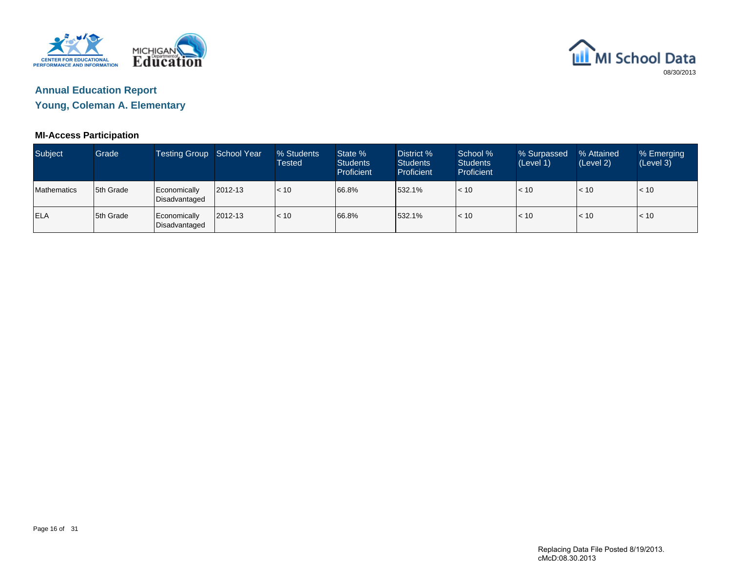



**Young, Coleman A. Elementary**

## **MI-Access Participation**

| <b>Subject</b>     | Grade      | Testing Group School Year     |         | % Students<br>Tested | State %<br><b>Students</b><br>Proficient | District %<br><b>Students</b><br>Proficient | School %<br><b>Students</b><br><b>Proficient</b> | % Surpassed<br>(Level 1) | % Attained<br>(Level 2) | % Emerging<br>(Level 3) |
|--------------------|------------|-------------------------------|---------|----------------------|------------------------------------------|---------------------------------------------|--------------------------------------------------|--------------------------|-------------------------|-------------------------|
| <b>Mathematics</b> | 15th Grade | Economically<br>Disadvantaged | 2012-13 | < 10                 | 66.8%                                    | 532.1%                                      | < 10                                             | < 10                     | < 10                    | < 10                    |
| <b>ELA</b>         | 5th Grade  | Economically<br>Disadvantaged | 2012-13 | < 10                 | 66.8%                                    | 532.1%                                      | $\approx$ 10                                     | < 10                     | $\leq 10$               | < 10                    |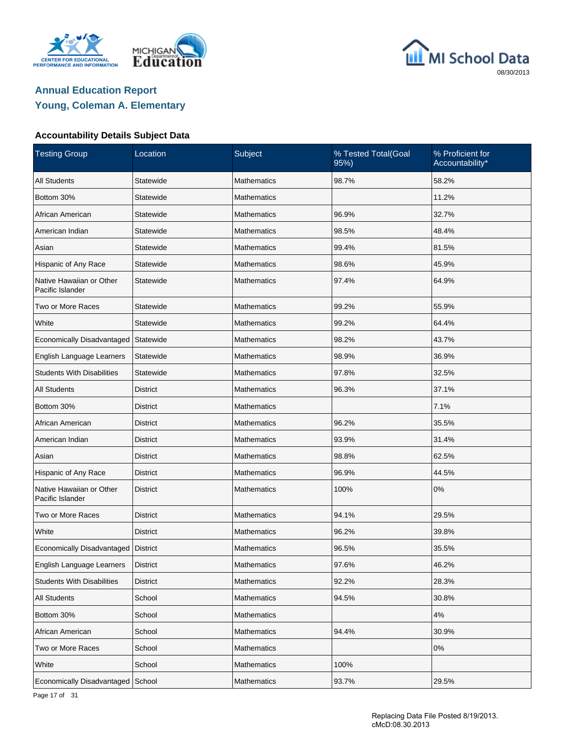





### **Accountability Details Subject Data**

| <b>Testing Group</b>                         | Location        | Subject            | % Tested Total(Goal<br>95%) | % Proficient for<br>Accountability* |
|----------------------------------------------|-----------------|--------------------|-----------------------------|-------------------------------------|
| <b>All Students</b>                          | Statewide       | <b>Mathematics</b> | 98.7%                       | 58.2%                               |
| Bottom 30%                                   | Statewide       | <b>Mathematics</b> |                             | 11.2%                               |
| African American                             | Statewide       | <b>Mathematics</b> | 96.9%                       | 32.7%                               |
| American Indian                              | Statewide       | <b>Mathematics</b> | 98.5%                       | 48.4%                               |
| Asian                                        | Statewide       | <b>Mathematics</b> | 99.4%                       | 81.5%                               |
| Hispanic of Any Race                         | Statewide       | <b>Mathematics</b> | 98.6%                       | 45.9%                               |
| Native Hawaiian or Other<br>Pacific Islander | Statewide       | <b>Mathematics</b> | 97.4%                       | 64.9%                               |
| Two or More Races                            | Statewide       | <b>Mathematics</b> | 99.2%                       | 55.9%                               |
| White                                        | Statewide       | <b>Mathematics</b> | 99.2%                       | 64.4%                               |
| Economically Disadvantaged                   | Statewide       | <b>Mathematics</b> | 98.2%                       | 43.7%                               |
| English Language Learners                    | Statewide       | <b>Mathematics</b> | 98.9%                       | 36.9%                               |
| <b>Students With Disabilities</b>            | Statewide       | <b>Mathematics</b> | 97.8%                       | 32.5%                               |
| <b>All Students</b>                          | <b>District</b> | Mathematics        | 96.3%                       | 37.1%                               |
| Bottom 30%                                   | District        | <b>Mathematics</b> |                             | 7.1%                                |
| African American                             | <b>District</b> | <b>Mathematics</b> | 96.2%                       | 35.5%                               |
| American Indian                              | District        | <b>Mathematics</b> | 93.9%                       | 31.4%                               |
| Asian                                        | <b>District</b> | Mathematics        | 98.8%                       | 62.5%                               |
| Hispanic of Any Race                         | <b>District</b> | <b>Mathematics</b> | 96.9%                       | 44.5%                               |
| Native Hawaiian or Other<br>Pacific Islander | <b>District</b> | <b>Mathematics</b> | 100%                        | 0%                                  |
| Two or More Races                            | <b>District</b> | <b>Mathematics</b> | 94.1%                       | 29.5%                               |
| White                                        | <b>District</b> | Mathematics        | 96.2%                       | 39.8%                               |
| Economically Disadvantaged   District        |                 | Mathematics        | 96.5%                       | 35.5%                               |
| English Language Learners                    | <b>District</b> | Mathematics        | 97.6%                       | 46.2%                               |
| <b>Students With Disabilities</b>            | District        | Mathematics        | 92.2%                       | 28.3%                               |
| All Students                                 | School          | Mathematics        | 94.5%                       | 30.8%                               |
| Bottom 30%                                   | School          | Mathematics        |                             | $4\%$                               |
| African American                             | School          | Mathematics        | 94.4%                       | 30.9%                               |
| Two or More Races                            | School          | Mathematics        |                             | 0%                                  |
| White                                        | School          | Mathematics        | 100%                        |                                     |
| Economically Disadvantaged                   | School          | Mathematics        | 93.7%                       | 29.5%                               |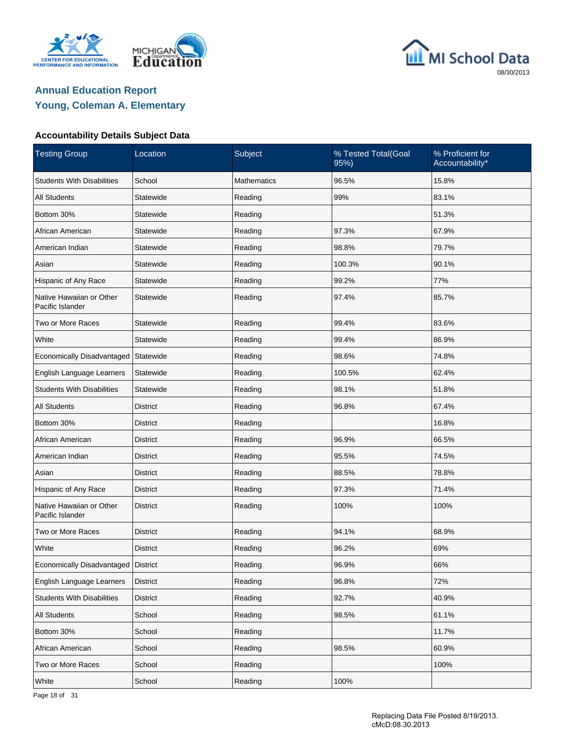





### **Accountability Details Subject Data**

| <b>Testing Group</b>                         | Location        | Subject            | % Tested Total(Goal<br>95%) | % Proficient for<br>Accountability* |
|----------------------------------------------|-----------------|--------------------|-----------------------------|-------------------------------------|
| <b>Students With Disabilities</b>            | School          | <b>Mathematics</b> | 96.5%                       | 15.8%                               |
| <b>All Students</b>                          | Statewide       | Reading            | 99%                         | 83.1%                               |
| Bottom 30%                                   | Statewide       | Reading            |                             | 51.3%                               |
| African American                             | Statewide       | Reading            | 97.3%                       | 67.9%                               |
| American Indian                              | Statewide       | Reading            | 98.8%                       | 79.7%                               |
| Asian                                        | Statewide       | Reading            | 100.3%                      | 90.1%                               |
| Hispanic of Any Race                         | Statewide       | Reading            | 99.2%                       | 77%                                 |
| Native Hawaiian or Other<br>Pacific Islander | Statewide       | Reading            | 97.4%                       | 85.7%                               |
| Two or More Races                            | Statewide       | Reading            | 99.4%                       | 83.6%                               |
| White                                        | Statewide       | Reading            | 99.4%                       | 86.9%                               |
| Economically Disadvantaged                   | Statewide       | Reading            | 98.6%                       | 74.8%                               |
| English Language Learners                    | Statewide       | Reading            | 100.5%                      | 62.4%                               |
| <b>Students With Disabilities</b>            | Statewide       | Reading            | 98.1%                       | 51.8%                               |
| <b>All Students</b>                          | <b>District</b> | Reading            | 96.8%                       | 67.4%                               |
| Bottom 30%                                   | <b>District</b> | Reading            |                             | 16.8%                               |
| African American                             | District        | Reading            | 96.9%                       | 66.5%                               |
| American Indian                              | <b>District</b> | Reading            | 95.5%                       | 74.5%                               |
| Asian                                        | <b>District</b> | Reading            | 88.5%                       | 78.8%                               |
| Hispanic of Any Race                         | <b>District</b> | Reading            | 97.3%                       | 71.4%                               |
| Native Hawaiian or Other<br>Pacific Islander | <b>District</b> | Reading            | 100%                        | 100%                                |
| Two or More Races                            | District        | Reading            | 94.1%                       | 68.9%                               |
| White                                        | <b>District</b> | Reading            | 96.2%                       | 69%                                 |
| Economically Disadvantaged                   | <b>District</b> | Reading            | 96.9%                       | 66%                                 |
| English Language Learners                    | District        | Reading            | 96.8%                       | 72%                                 |
| <b>Students With Disabilities</b>            | <b>District</b> | Reading            | 92.7%                       | 40.9%                               |
| <b>All Students</b>                          | School          | Reading            | 98.5%                       | 61.1%                               |
| Bottom 30%                                   | School          | Reading            |                             | 11.7%                               |
| African American                             | School          | Reading            | 98.5%                       | 60.9%                               |
| Two or More Races                            | School          | Reading            |                             | 100%                                |
| White                                        | School          | Reading            | 100%                        |                                     |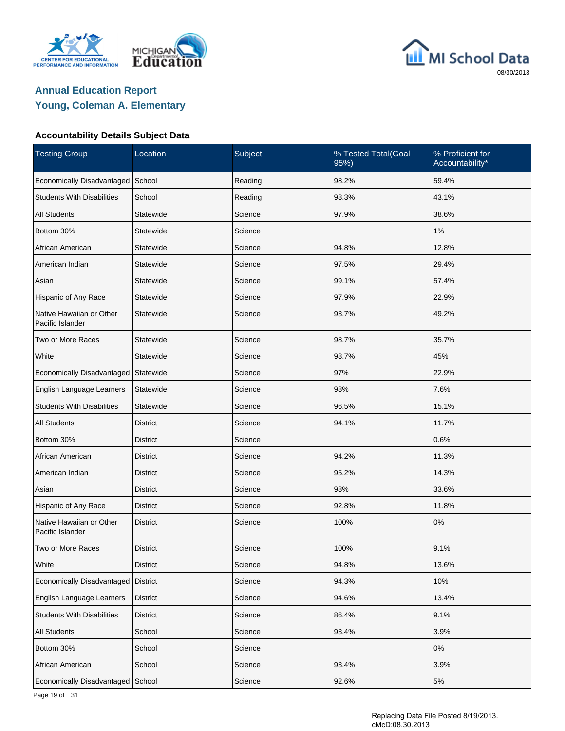





### **Accountability Details Subject Data**

| <b>Testing Group</b>                         | Location        | Subject | % Tested Total(Goal<br>95%) | % Proficient for<br>Accountability* |
|----------------------------------------------|-----------------|---------|-----------------------------|-------------------------------------|
| Economically Disadvantaged                   | School          | Reading | 98.2%                       | 59.4%                               |
| <b>Students With Disabilities</b>            | School          | Reading | 98.3%                       | 43.1%                               |
| <b>All Students</b>                          | Statewide       | Science | 97.9%                       | 38.6%                               |
| Bottom 30%                                   | Statewide       | Science |                             | 1%                                  |
| African American                             | Statewide       | Science | 94.8%                       | 12.8%                               |
| American Indian                              | Statewide       | Science | 97.5%                       | 29.4%                               |
| Asian                                        | Statewide       | Science | 99.1%                       | 57.4%                               |
| Hispanic of Any Race                         | Statewide       | Science | 97.9%                       | 22.9%                               |
| Native Hawaiian or Other<br>Pacific Islander | Statewide       | Science | 93.7%                       | 49.2%                               |
| Two or More Races                            | Statewide       | Science | 98.7%                       | 35.7%                               |
| White                                        | Statewide       | Science | 98.7%                       | 45%                                 |
| Economically Disadvantaged                   | Statewide       | Science | 97%                         | 22.9%                               |
| English Language Learners                    | Statewide       | Science | 98%                         | 7.6%                                |
| <b>Students With Disabilities</b>            | Statewide       | Science | 96.5%                       | 15.1%                               |
| <b>All Students</b>                          | <b>District</b> | Science | 94.1%                       | 11.7%                               |
| Bottom 30%                                   | District        | Science |                             | 0.6%                                |
| African American                             | District        | Science | 94.2%                       | 11.3%                               |
| American Indian                              | District        | Science | 95.2%                       | 14.3%                               |
| Asian                                        | <b>District</b> | Science | 98%                         | 33.6%                               |
| Hispanic of Any Race                         | <b>District</b> | Science | 92.8%                       | 11.8%                               |
| Native Hawaiian or Other<br>Pacific Islander | <b>District</b> | Science | 100%                        | 0%                                  |
| Two or More Races                            | <b>District</b> | Science | 100%                        | 9.1%                                |
| White                                        | <b>District</b> | Science | 94.8%                       | 13.6%                               |
| Economically Disadvantaged                   | <b>District</b> | Science | 94.3%                       | 10%                                 |
| English Language Learners                    | <b>District</b> | Science | 94.6%                       | 13.4%                               |
| <b>Students With Disabilities</b>            | District        | Science | 86.4%                       | 9.1%                                |
| All Students                                 | School          | Science | 93.4%                       | 3.9%                                |
| Bottom 30%                                   | School          | Science |                             | 0%                                  |
| African American                             | School          | Science | 93.4%                       | 3.9%                                |
| Economically Disadvantaged                   | School          | Science | 92.6%                       | $5\%$                               |

Page 19 of 31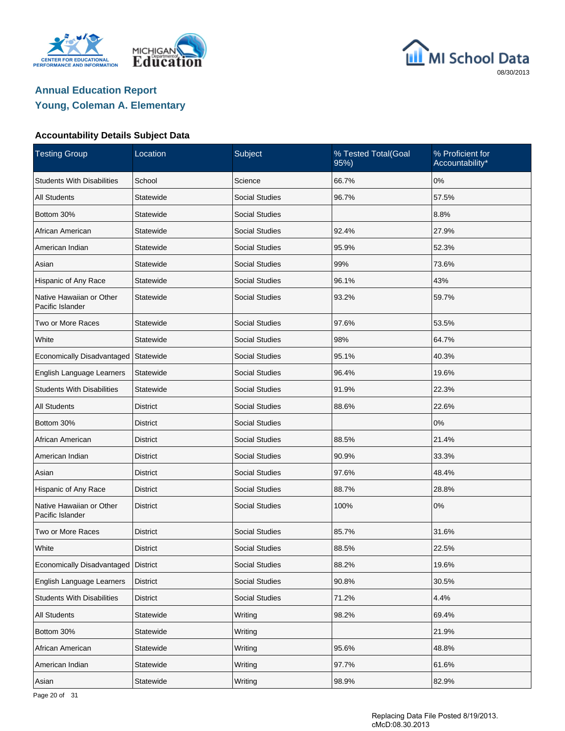





### **Accountability Details Subject Data**

| <b>Testing Group</b>                         | Location        | Subject               | % Tested Total(Goal<br>95%) | % Proficient for<br>Accountability* |
|----------------------------------------------|-----------------|-----------------------|-----------------------------|-------------------------------------|
| <b>Students With Disabilities</b>            | School          | Science               | 66.7%                       | 0%                                  |
| <b>All Students</b>                          | Statewide       | <b>Social Studies</b> | 96.7%                       | 57.5%                               |
| Bottom 30%                                   | Statewide       | <b>Social Studies</b> |                             | 8.8%                                |
| African American                             | Statewide       | <b>Social Studies</b> | 92.4%                       | 27.9%                               |
| American Indian                              | Statewide       | <b>Social Studies</b> | 95.9%                       | 52.3%                               |
| Asian                                        | Statewide       | <b>Social Studies</b> | 99%                         | 73.6%                               |
| Hispanic of Any Race                         | Statewide       | <b>Social Studies</b> | 96.1%                       | 43%                                 |
| Native Hawaiian or Other<br>Pacific Islander | Statewide       | <b>Social Studies</b> | 93.2%                       | 59.7%                               |
| Two or More Races                            | Statewide       | <b>Social Studies</b> | 97.6%                       | 53.5%                               |
| White                                        | Statewide       | <b>Social Studies</b> | 98%                         | 64.7%                               |
| Economically Disadvantaged                   | Statewide       | <b>Social Studies</b> | 95.1%                       | 40.3%                               |
| English Language Learners                    | Statewide       | <b>Social Studies</b> | 96.4%                       | 19.6%                               |
| <b>Students With Disabilities</b>            | Statewide       | <b>Social Studies</b> | 91.9%                       | 22.3%                               |
| <b>All Students</b>                          | District        | <b>Social Studies</b> | 88.6%                       | 22.6%                               |
| Bottom 30%                                   | <b>District</b> | <b>Social Studies</b> |                             | 0%                                  |
| African American                             | District        | <b>Social Studies</b> | 88.5%                       | 21.4%                               |
| American Indian                              | <b>District</b> | <b>Social Studies</b> | 90.9%                       | 33.3%                               |
| Asian                                        | <b>District</b> | <b>Social Studies</b> | 97.6%                       | 48.4%                               |
| Hispanic of Any Race                         | <b>District</b> | <b>Social Studies</b> | 88.7%                       | 28.8%                               |
| Native Hawaiian or Other<br>Pacific Islander | <b>District</b> | <b>Social Studies</b> | 100%                        | 0%                                  |
| Two or More Races                            | <b>District</b> | <b>Social Studies</b> | 85.7%                       | 31.6%                               |
| White                                        | <b>District</b> | <b>Social Studies</b> | 88.5%                       | 22.5%                               |
| Economically Disadvantaged                   | <b>District</b> | Social Studies        | 88.2%                       | 19.6%                               |
| English Language Learners                    | District        | Social Studies        | 90.8%                       | 30.5%                               |
| <b>Students With Disabilities</b>            | <b>District</b> | <b>Social Studies</b> | 71.2%                       | 4.4%                                |
| All Students                                 | Statewide       | Writing               | 98.2%                       | 69.4%                               |
| Bottom 30%                                   | Statewide       | Writing               |                             | 21.9%                               |
| African American                             | Statewide       | Writing               | 95.6%                       | 48.8%                               |
| American Indian                              | Statewide       | Writing               | 97.7%                       | 61.6%                               |
| Asian                                        | Statewide       | Writing               | 98.9%                       | 82.9%                               |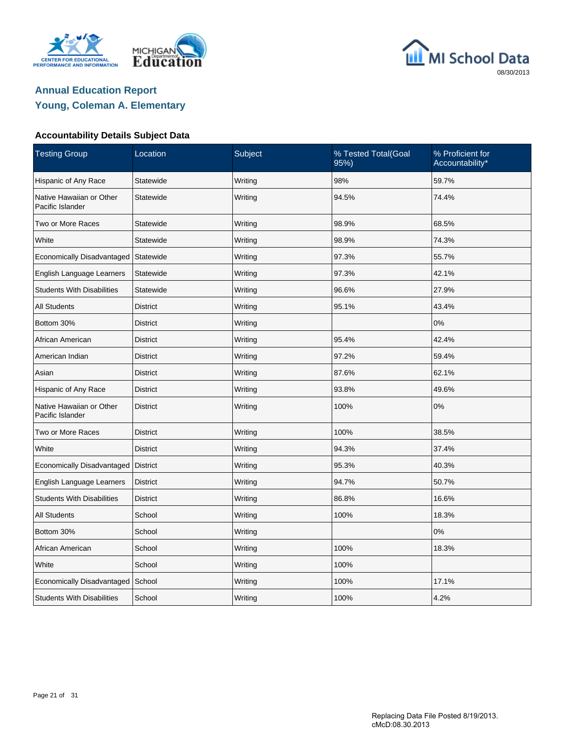





### **Accountability Details Subject Data**

| <b>Testing Group</b>                         | Location        | Subject | % Tested Total(Goal<br>95%) | % Proficient for<br>Accountability* |
|----------------------------------------------|-----------------|---------|-----------------------------|-------------------------------------|
| Hispanic of Any Race                         | Statewide       | Writing | 98%                         | 59.7%                               |
| Native Hawaiian or Other<br>Pacific Islander | Statewide       | Writing | 94.5%                       | 74.4%                               |
| Two or More Races                            | Statewide       | Writing | 98.9%                       | 68.5%                               |
| White                                        | Statewide       | Writing | 98.9%                       | 74.3%                               |
| Economically Disadvantaged                   | Statewide       | Writing | 97.3%                       | 55.7%                               |
| English Language Learners                    | Statewide       | Writing | 97.3%                       | 42.1%                               |
| <b>Students With Disabilities</b>            | Statewide       | Writing | 96.6%                       | 27.9%                               |
| All Students                                 | District        | Writing | 95.1%                       | 43.4%                               |
| Bottom 30%                                   | <b>District</b> | Writing |                             | 0%                                  |
| African American                             | <b>District</b> | Writing | 95.4%                       | 42.4%                               |
| American Indian                              | <b>District</b> | Writing | 97.2%                       | 59.4%                               |
| Asian                                        | District        | Writing | 87.6%                       | 62.1%                               |
| Hispanic of Any Race                         | District        | Writing | 93.8%                       | 49.6%                               |
| Native Hawaiian or Other<br>Pacific Islander | <b>District</b> | Writing | 100%                        | 0%                                  |
| Two or More Races                            | <b>District</b> | Writing | 100%                        | 38.5%                               |
| White                                        | <b>District</b> | Writing | 94.3%                       | 37.4%                               |
| Economically Disadvantaged                   | <b>District</b> | Writing | 95.3%                       | 40.3%                               |
| English Language Learners                    | <b>District</b> | Writing | 94.7%                       | 50.7%                               |
| <b>Students With Disabilities</b>            | <b>District</b> | Writing | 86.8%                       | 16.6%                               |
| All Students                                 | School          | Writing | 100%                        | 18.3%                               |
| Bottom 30%                                   | School          | Writing |                             | 0%                                  |
| African American                             | School          | Writing | 100%                        | 18.3%                               |
| White                                        | School          | Writing | 100%                        |                                     |
| Economically Disadvantaged                   | School          | Writing | 100%                        | 17.1%                               |
| <b>Students With Disabilities</b>            | School          | Writing | 100%                        | 4.2%                                |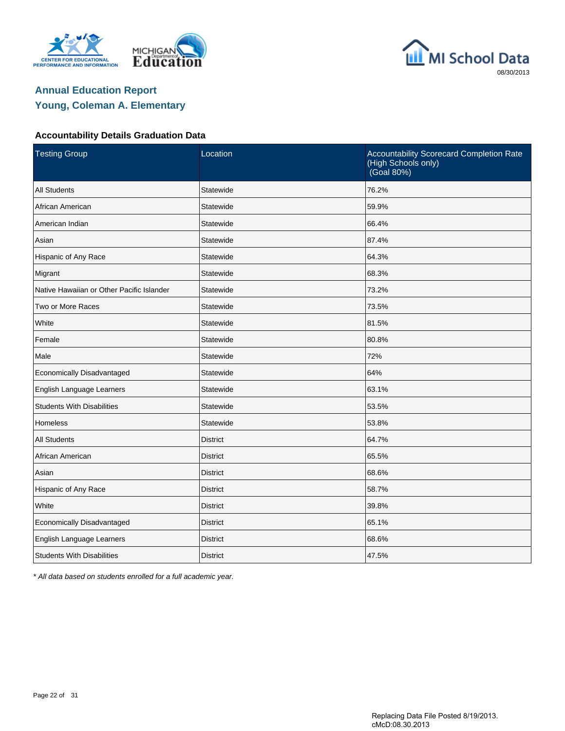





### **Accountability Details Graduation Data**

| <b>Testing Group</b>                      | Location        | Accountability Scorecard Completion Rate<br>(High Schools only)<br>(Goal 80%) |  |  |  |
|-------------------------------------------|-----------------|-------------------------------------------------------------------------------|--|--|--|
| <b>All Students</b>                       | Statewide       | 76.2%                                                                         |  |  |  |
| African American                          | Statewide       | 59.9%                                                                         |  |  |  |
| American Indian                           | Statewide       | 66.4%                                                                         |  |  |  |
| Asian                                     | Statewide       | 87.4%                                                                         |  |  |  |
| Hispanic of Any Race                      | Statewide       | 64.3%                                                                         |  |  |  |
| Migrant                                   | Statewide       | 68.3%                                                                         |  |  |  |
| Native Hawaiian or Other Pacific Islander | Statewide       | 73.2%                                                                         |  |  |  |
| Two or More Races                         | Statewide       | 73.5%                                                                         |  |  |  |
| White                                     | Statewide       | 81.5%                                                                         |  |  |  |
| Female                                    | Statewide       | 80.8%                                                                         |  |  |  |
| Male                                      | Statewide       | 72%                                                                           |  |  |  |
| Economically Disadvantaged                | Statewide       | 64%                                                                           |  |  |  |
| English Language Learners                 | Statewide       | 63.1%                                                                         |  |  |  |
| <b>Students With Disabilities</b>         | Statewide       | 53.5%                                                                         |  |  |  |
| <b>Homeless</b>                           | Statewide       | 53.8%                                                                         |  |  |  |
| <b>All Students</b>                       | <b>District</b> | 64.7%                                                                         |  |  |  |
| African American                          | <b>District</b> | 65.5%                                                                         |  |  |  |
| Asian                                     | <b>District</b> | 68.6%                                                                         |  |  |  |
| Hispanic of Any Race                      | <b>District</b> | 58.7%                                                                         |  |  |  |
| White                                     | <b>District</b> | 39.8%                                                                         |  |  |  |
| Economically Disadvantaged                | <b>District</b> | 65.1%                                                                         |  |  |  |
| English Language Learners                 | <b>District</b> | 68.6%                                                                         |  |  |  |
| <b>Students With Disabilities</b>         | <b>District</b> | 47.5%                                                                         |  |  |  |

\* All data based on students enrolled for a full academic year.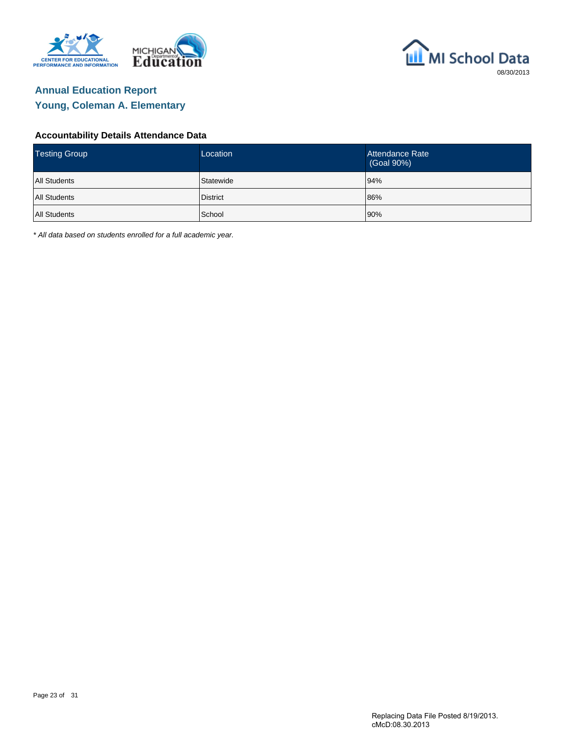





### **Accountability Details Attendance Data**

| <b>Testing Group</b> | Location        | Attendance Rate<br>(Goal 90%) |
|----------------------|-----------------|-------------------------------|
| <b>All Students</b>  | Statewide       | 94%                           |
| <b>All Students</b>  | <b>District</b> | 86%                           |
| <b>All Students</b>  | School          | 90%                           |

\* All data based on students enrolled for a full academic year.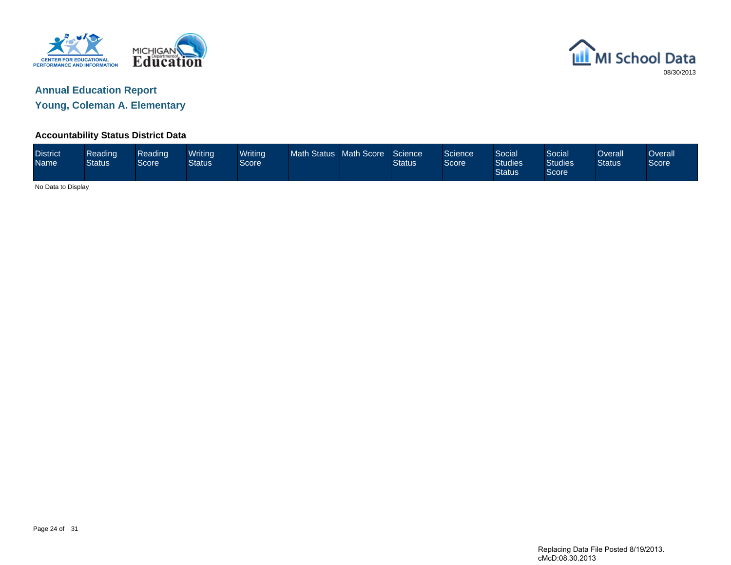



**Young, Coleman A. Elementary**

### **Accountability Status District Data**

| <b>District</b><br><b>Name</b> | Reading<br><b>Status</b> | Reading<br><b>Score</b> | Writina<br>Status | Writing<br>Score <sup>1</sup> | <b>Math Status</b> | Math Score | Science<br><b>Status</b> | Science<br>Score | <b>Social</b><br><b>Studies</b><br><b>Status</b> | Social<br><b>Studies</b><br>Score | )verall<br><b>Status</b> | <b>Overall</b><br>Score |
|--------------------------------|--------------------------|-------------------------|-------------------|-------------------------------|--------------------|------------|--------------------------|------------------|--------------------------------------------------|-----------------------------------|--------------------------|-------------------------|
|                                | No Data to Display       |                         |                   |                               |                    |            |                          |                  |                                                  |                                   |                          |                         |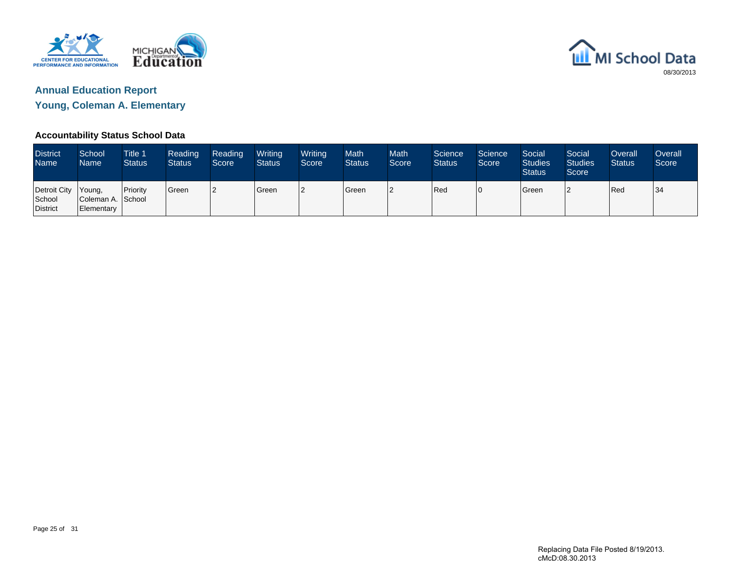



**Young, Coleman A. Elementary**

### **Accountability Status School Data**

| <b>District</b><br><b>Name</b>     | School<br><b>Name</b>                     | <b>Title 1</b><br><b>Status</b> | Reading<br><b>Status</b> | Reading<br>Score | Writing<br><b>Status</b> | Writing<br>Score | <b>Math</b><br><b>Status</b> | <b>Math</b><br>Score <sup>1</sup> | Science<br><b>Status</b> | Science<br>Score | Social<br><b>Studies</b><br><b>Status</b> | Social<br><b>Studies</b><br>Score | Overall<br><b>Status</b> | Overall<br>Score |
|------------------------------------|-------------------------------------------|---------------------------------|--------------------------|------------------|--------------------------|------------------|------------------------------|-----------------------------------|--------------------------|------------------|-------------------------------------------|-----------------------------------|--------------------------|------------------|
| Detroit City<br>School<br>District | Young,<br>Coleman A. School<br>Elementary | <b>I</b> Priority               | <b>Green</b>             | 12               | <b>I</b> Green           | 2                | Green                        |                                   | Red                      | 10               | Green                                     | n                                 | <b>IRed</b>              | 34               |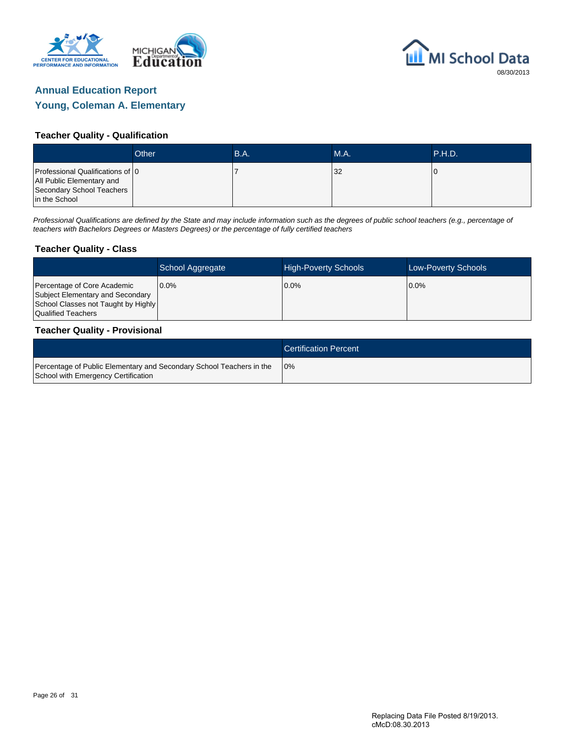



#### **Teacher Quality - Qualification**

|                                                                                                             | Other | B.A. | MA. | <b>P.H.D.</b> |
|-------------------------------------------------------------------------------------------------------------|-------|------|-----|---------------|
| Professional Qualifications of 0<br>All Public Elementary and<br>Secondary School Teachers<br>in the School |       |      | 32  |               |

Professional Qualifications are defined by the State and may include information such as the degrees of public school teachers (e.g., percentage of teachers with Bachelors Degrees or Masters Degrees) or the percentage of fully certified teachers

#### **Teacher Quality - Class**

|                                                                                                                              | School Aggregate | <b>High-Poverty Schools</b> | <b>Low-Poverty Schools</b> |
|------------------------------------------------------------------------------------------------------------------------------|------------------|-----------------------------|----------------------------|
| Percentage of Core Academic<br>Subject Elementary and Secondary<br>School Classes not Taught by Highly<br>Qualified Teachers | $0.0\%$          | $0.0\%$                     | $0.0\%$                    |

#### **Teacher Quality - Provisional**

|                                                                                                             | <b>Certification Percent</b> |
|-------------------------------------------------------------------------------------------------------------|------------------------------|
| Percentage of Public Elementary and Secondary School Teachers in the<br>School with Emergency Certification | 10%                          |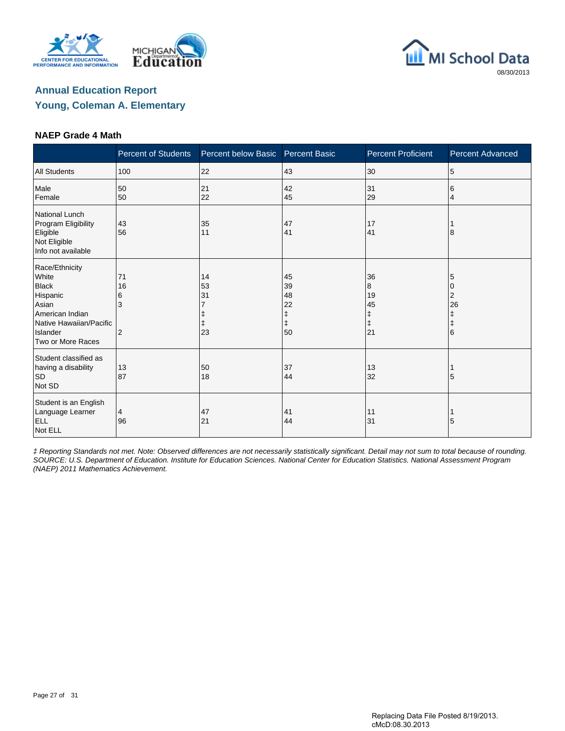





### **NAEP Grade 4 Math**

|                                                                                                                                             | <b>Percent of Students</b> | Percent below Basic  | <b>Percent Basic</b>                          | <b>Percent Proficient</b>                    | <b>Percent Advanced</b>              |
|---------------------------------------------------------------------------------------------------------------------------------------------|----------------------------|----------------------|-----------------------------------------------|----------------------------------------------|--------------------------------------|
| <b>All Students</b>                                                                                                                         | 100                        | 22                   | 43                                            | 30                                           | 5                                    |
| Male<br>Female                                                                                                                              | 50<br>50                   | 21<br>22             | 42<br>45                                      | 31<br>29                                     | 6<br>4                               |
| <b>National Lunch</b><br>Program Eligibility<br>Eligible<br>Not Eligible<br>Info not available                                              | 43<br>56                   | 35<br>11             | 47<br>41                                      | 17<br>41                                     | 8                                    |
| Race/Ethnicity<br>White<br><b>Black</b><br>Hispanic<br>Asian<br>American Indian<br>Native Hawaiian/Pacific<br>Islander<br>Two or More Races | 71<br>16<br>6<br>3<br>2    | 14<br>53<br>31<br>23 | 45<br>39<br>48<br>22<br>ŧ<br>$\ddagger$<br>50 | 36<br>8<br>19<br>45<br>ŧ<br>$\ddagger$<br>21 | 5<br>2<br>26<br>ŧ<br>$\ddagger$<br>6 |
| Student classified as<br>having a disability<br><b>SD</b><br>Not SD                                                                         | 13<br>87                   | 50<br>18             | 37<br>44                                      | 13<br>32                                     | 5                                    |
| Student is an English<br>Language Learner<br><b>ELL</b><br>Not ELL                                                                          | 4<br>96                    | 47<br>21             | 41<br>44                                      | 11<br>31                                     | 5                                    |

‡ Reporting Standards not met. Note: Observed differences are not necessarily statistically significant. Detail may not sum to total because of rounding. SOURCE: U.S. Department of Education. Institute for Education Sciences. National Center for Education Statistics. National Assessment Program (NAEP) 2011 Mathematics Achievement.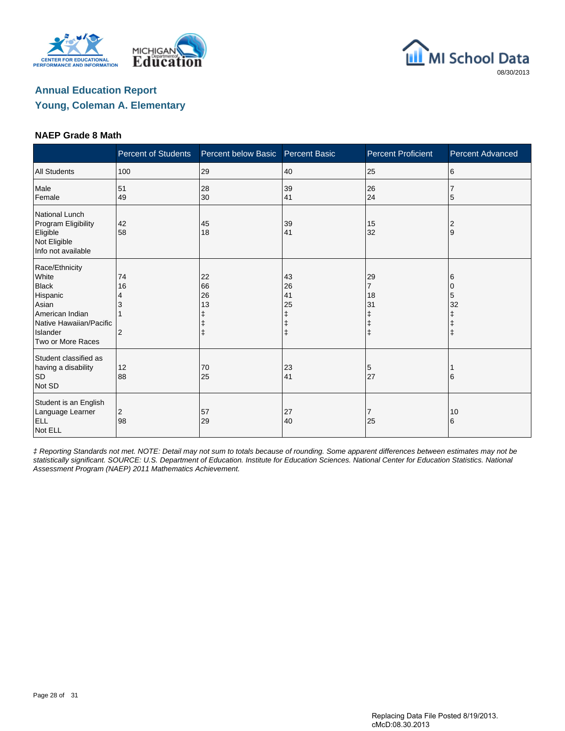





#### **NAEP Grade 8 Math**

|                                                                                                                                             | <b>Percent of Students</b>           | Percent below Basic  | <b>Percent Basic</b>                | <b>Percent Proficient</b>                                | <b>Percent Advanced</b>                                 |
|---------------------------------------------------------------------------------------------------------------------------------------------|--------------------------------------|----------------------|-------------------------------------|----------------------------------------------------------|---------------------------------------------------------|
| <b>All Students</b>                                                                                                                         | 100                                  | 29                   | 40                                  | 25                                                       | 6                                                       |
| Male<br>Female                                                                                                                              | 51<br>49                             | 28<br>30             | 39<br>41                            | 26<br>24                                                 | 5                                                       |
| National Lunch<br>Program Eligibility<br>Eligible<br>Not Eligible<br>Info not available                                                     | 42<br>58                             | 45<br>18             | 39<br>41                            | 15<br>32                                                 | $\overline{2}$<br>9                                     |
| Race/Ethnicity<br>White<br><b>Black</b><br>Hispanic<br>Asian<br>American Indian<br>Native Hawaiian/Pacific<br>Islander<br>Two or More Races | 74<br>16<br>4<br>3<br>$\overline{2}$ | 22<br>66<br>26<br>13 | 43<br>26<br>41<br>25<br>ŧ<br>ŧ<br>ŧ | 29<br>$\overline{7}$<br>18<br>31<br>ŧ<br>ŧ<br>$\ddagger$ | 6<br>$\mathbf 0$<br>5<br>32<br>$\ddagger$<br>$\ddagger$ |
| Student classified as<br>having a disability<br><b>SD</b><br>Not SD                                                                         | 12<br>88                             | 70<br>25             | 23<br>41                            | 5<br>27                                                  | 6                                                       |
| Student is an English<br>Language Learner<br><b>ELL</b><br>Not ELL                                                                          | $\overline{c}$<br>98                 | 57<br>29             | 27<br>40                            | 7<br>25                                                  | 10<br>6                                                 |

‡ Reporting Standards not met. NOTE: Detail may not sum to totals because of rounding. Some apparent differences between estimates may not be statistically significant. SOURCE: U.S. Department of Education. Institute for Education Sciences. National Center for Education Statistics. National Assessment Program (NAEP) 2011 Mathematics Achievement.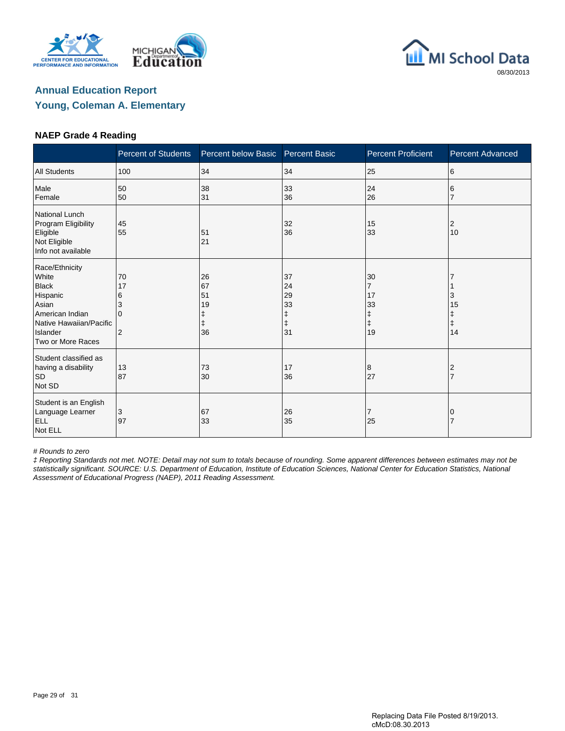





#### **NAEP Grade 4 Reading**

|                                                                                                                                             | <b>Percent of Students</b>          | Percent below Basic                           | <b>Percent Basic</b>                          | <b>Percent Proficient</b>                                 | <b>Percent Advanced</b> |
|---------------------------------------------------------------------------------------------------------------------------------------------|-------------------------------------|-----------------------------------------------|-----------------------------------------------|-----------------------------------------------------------|-------------------------|
| <b>All Students</b>                                                                                                                         | 100                                 | 34                                            | 34                                            | 25                                                        | 6                       |
| Male<br>Female                                                                                                                              | 50<br>50                            | 38<br>31                                      | 33<br>36                                      | 24<br>26                                                  | 6                       |
| National Lunch<br>Program Eligibility<br>Eligible<br>Not Eligible<br>Info not available                                                     | 45<br>55                            | 51<br>21                                      | 32<br>36                                      | 15<br>33                                                  | 2<br>10                 |
| Race/Ethnicity<br>White<br><b>Black</b><br>Hispanic<br>Asian<br>American Indian<br>Native Hawaiian/Pacific<br>Islander<br>Two or More Races | 70<br>17<br>6<br>3<br>$\Omega$<br>2 | 26<br>67<br>51<br>19<br>ŧ<br>$\ddagger$<br>36 | 37<br>24<br>29<br>33<br>ŧ<br>$\ddagger$<br>31 | 30<br>$\overline{7}$<br>17<br>33<br>ŧ<br>$\ddagger$<br>19 | 3<br>15<br>ŧ<br>ŧ<br>14 |
| Student classified as<br>having a disability<br><b>SD</b><br>Not SD                                                                         | 13<br>87                            | 73<br>30                                      | 17<br>36                                      | 8<br>27                                                   | $\overline{2}$<br>17    |
| Student is an English<br>Language Learner<br><b>ELL</b><br>Not ELL                                                                          | 3<br>97                             | 67<br>33                                      | 26<br>35                                      | 7<br>25                                                   |                         |

# Rounds to zero

‡ Reporting Standards not met. NOTE: Detail may not sum to totals because of rounding. Some apparent differences between estimates may not be statistically significant. SOURCE: U.S. Department of Education, Institute of Education Sciences, National Center for Education Statistics, National Assessment of Educational Progress (NAEP), 2011 Reading Assessment.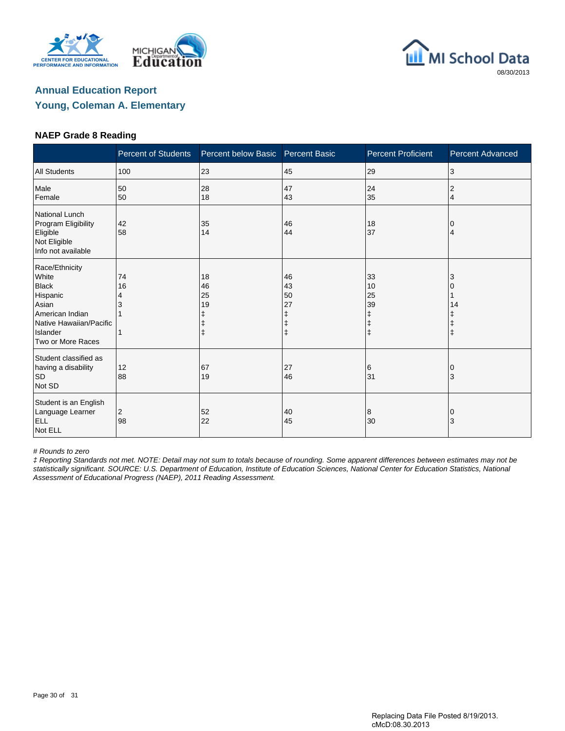





#### **NAEP Grade 8 Reading**

|                                                                                                                                             | <b>Percent of Students</b> | Percent below Basic                              | <b>Percent Basic</b> | <b>Percent Proficient</b>                             | <b>Percent Advanced</b> |
|---------------------------------------------------------------------------------------------------------------------------------------------|----------------------------|--------------------------------------------------|----------------------|-------------------------------------------------------|-------------------------|
| <b>All Students</b>                                                                                                                         | 100                        | 23                                               | 45                   | 29                                                    | 3                       |
| Male<br>Female                                                                                                                              | 50<br>50                   | 28<br>18                                         | 47<br>43             | 24<br>35                                              | $\overline{2}$<br>4     |
| National Lunch<br>Program Eligibility<br>Eligible<br>Not Eligible<br>Info not available                                                     | 42<br>58                   | 35<br>14                                         | 46<br>44             | 18<br>37                                              | 4                       |
| Race/Ethnicity<br>White<br><b>Black</b><br>Hispanic<br>Asian<br>American Indian<br>Native Hawaiian/Pacific<br>Islander<br>Two or More Races | 74<br>16<br>4<br>1         | 18<br>46<br>25<br>19<br>$\ddagger$<br>$\ddagger$ | 46<br>43<br>50<br>27 | 33<br>10<br>25<br>39<br>ŧ<br>$\ddagger$<br>$\ddagger$ | 3<br>14<br>$\ddagger$   |
| Student classified as<br>having a disability<br><b>SD</b><br>Not SD                                                                         | 12<br>88                   | 67<br>19                                         | 27<br>46             | 6<br>31                                               | 10<br>3                 |
| Student is an English<br>Language Learner<br><b>ELL</b><br>Not ELL                                                                          | 2<br>98                    | 52<br>22                                         | 40<br>45             | 8<br>30                                               | 0<br>3                  |

# Rounds to zero

‡ Reporting Standards not met. NOTE: Detail may not sum to totals because of rounding. Some apparent differences between estimates may not be statistically significant. SOURCE: U.S. Department of Education, Institute of Education Sciences, National Center for Education Statistics, National Assessment of Educational Progress (NAEP), 2011 Reading Assessment.